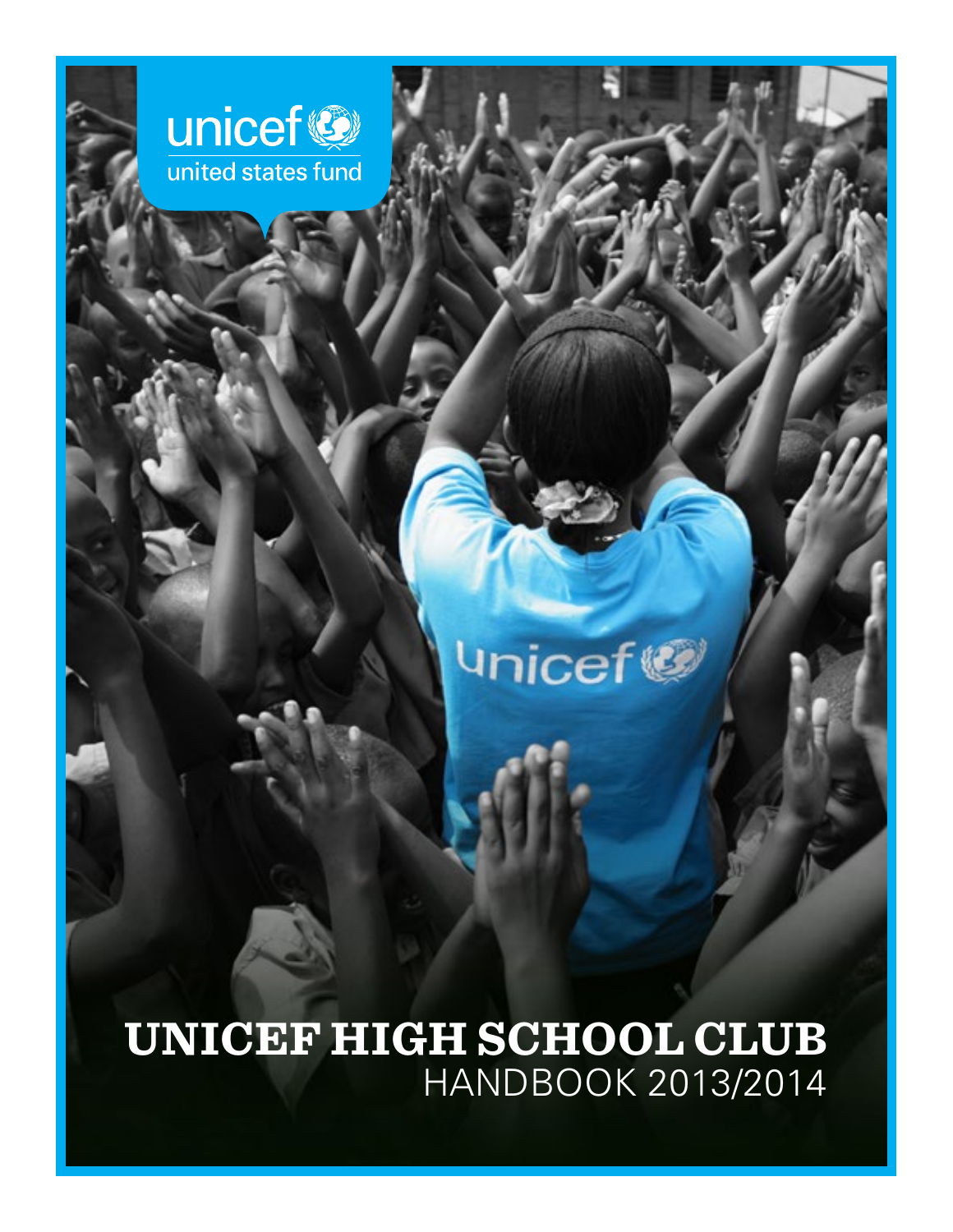

# **Unicef®**

**UNICEF HIGH SCHOOL CLUB** HANDBOOK 2013/2014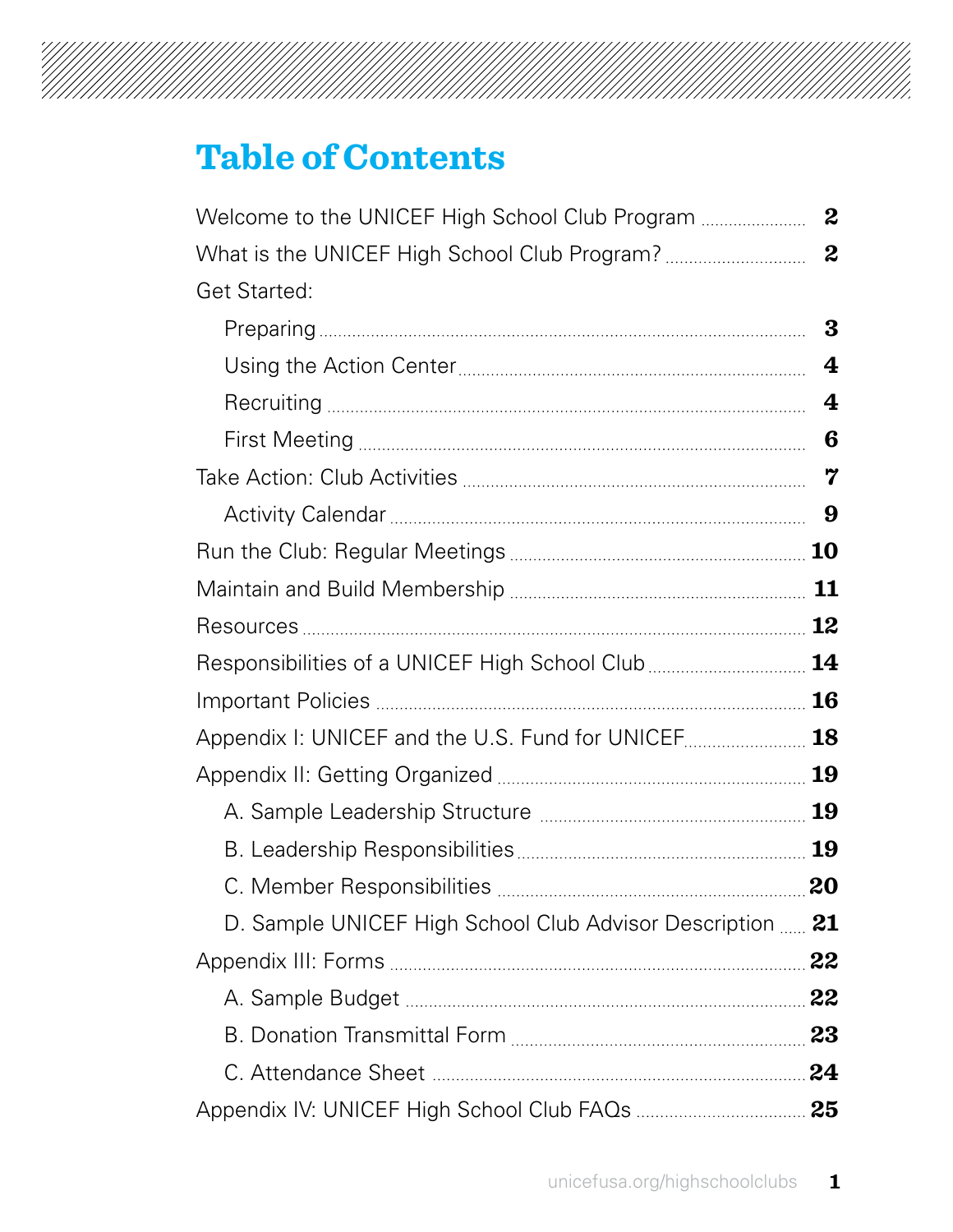# 

## **Table of Contents**

| <b>Get Started:</b>                                       |   |
|-----------------------------------------------------------|---|
|                                                           | 3 |
|                                                           | 4 |
|                                                           | 4 |
|                                                           | 6 |
|                                                           | 7 |
|                                                           | 9 |
|                                                           |   |
|                                                           |   |
|                                                           |   |
| Responsibilities of a UNICEF High School Club  14         |   |
|                                                           |   |
| Appendix I: UNICEF and the U.S. Fund for UNICEF 18        |   |
|                                                           |   |
|                                                           |   |
|                                                           |   |
|                                                           |   |
| D. Sample UNICEF High School Club Advisor Description  21 |   |
|                                                           |   |
|                                                           |   |
|                                                           |   |
|                                                           |   |
|                                                           |   |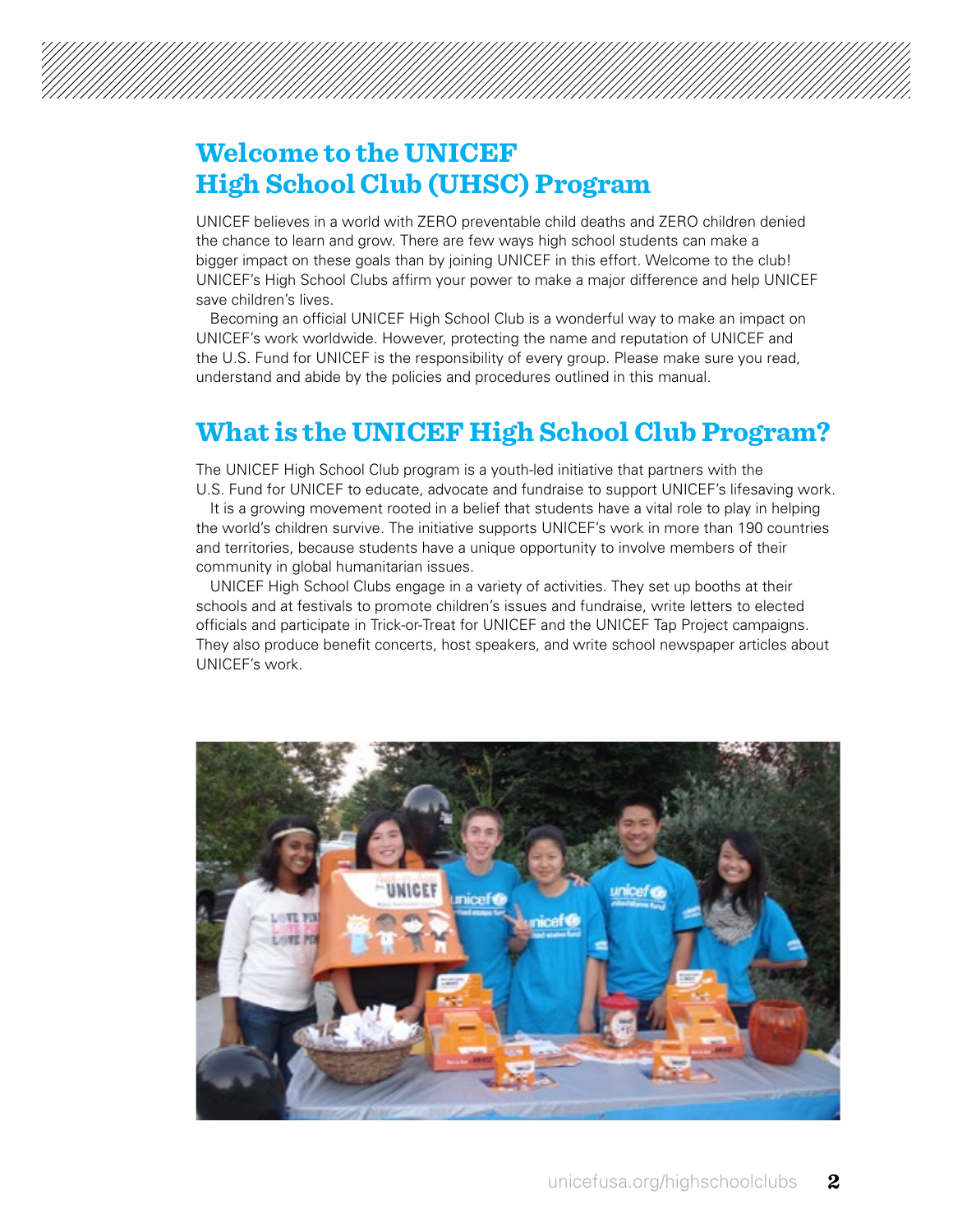## **Welcome to the UNICEF High School Club (UHSC) Program**

UNICEF believes in a world with ZERO preventable child deaths and ZERO children denied the chance to learn and grow. There are few ways high school students can make a bigger impact on these goals than by joining UNICEF in this effort. Welcome to the club! UNICEF's High School Clubs affirm your power to make a major difference and help UNICEF save children's lives.

Becoming an official UNICEF High School Club is a wonderful way to make an impact on UNICEF's work worldwide. However, protecting the name and reputation of UNICEF and the U.S. Fund for UNICEF is the responsibility of every group. Please make sure you read, understand and abide by the policies and procedures outlined in this manual.

### **What is the UNICEF High School Club Program?**

The UNICEF High School Club program is a youth-led initiative that partners with the U.S. Fund for UNICEF to educate, advocate and fundraise to support UNICEF's lifesaving work.

It is a growing movement rooted in a belief that students have a vital role to play in helping the world's children survive. The initiative supports UNICEF's work in more than 190 countries and territories, because students have a unique opportunity to involve members of their community in global humanitarian issues.

UNICEF High School Clubs engage in a variety of activities. They set up booths at their schools and at festivals to promote children's issues and fundraise, write letters to elected officials and participate in Trick-or-Treat for UNICEF and the UNICEF Tap Project campaigns. They also produce benefit concerts, host speakers, and write school newspaper articles about UNICEF's work.

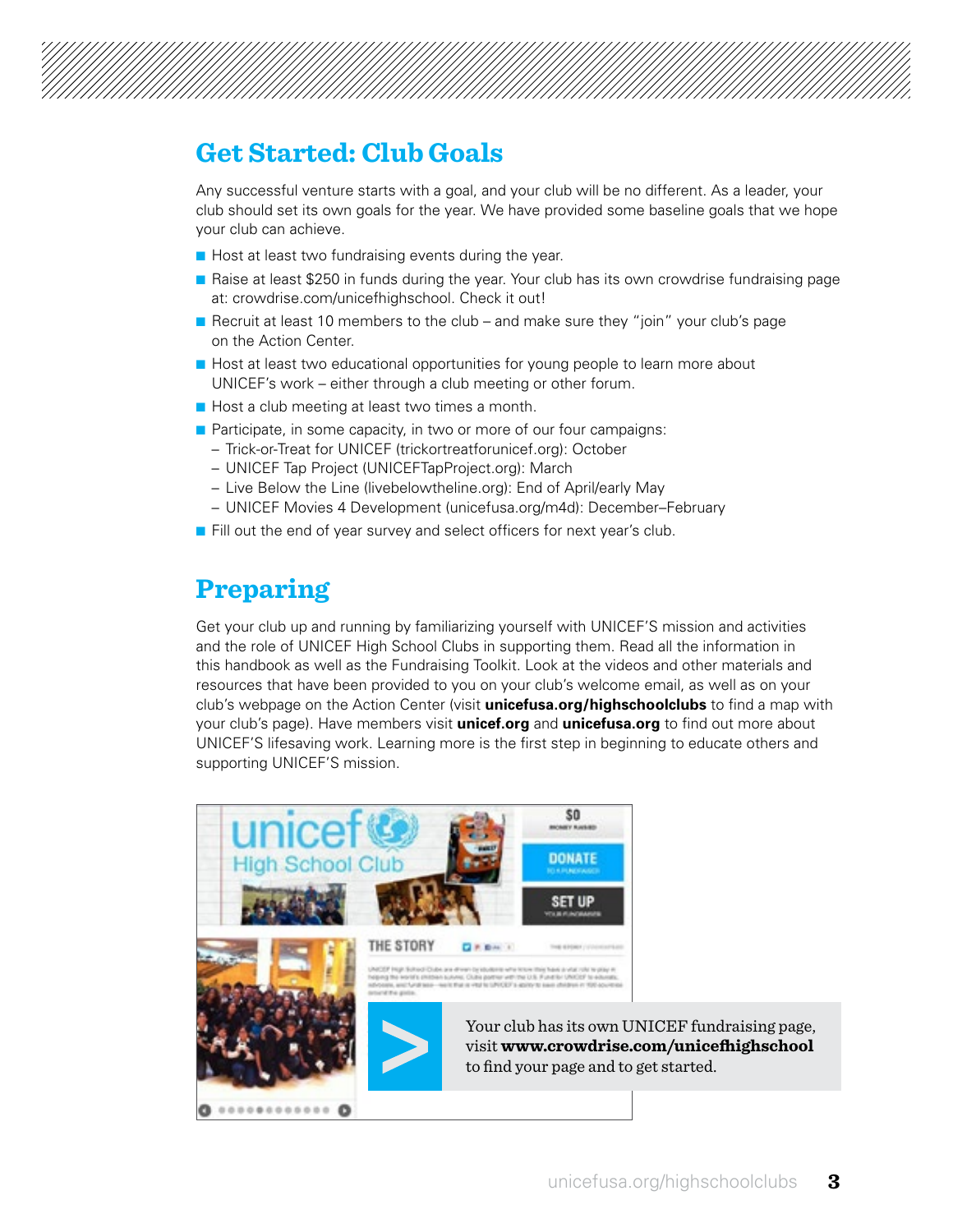

### **Get Started: Club Goals**

Any successful venture starts with a goal, and your club will be no different. As a leader, your club should set its own goals for the year. We have provided some baseline goals that we hope your club can achieve.

- $\blacksquare$  Host at least two fundraising events during the year.
- **n** Raise at least \$250 in funds during the year. Your club has its own crowdrise fundraising page at: [crowdrise.com/unicefhighschool.](http://www.crowdrise.com/unicefhighschool) Check it out!
- **n** Recruit at least 10 members to the club and make sure they "join" your club's page on the Action Center.
- **n** Host at least two educational opportunities for young people to learn more about UNICEF's work – either through a club meeting or other forum.
- $\blacksquare$  Host a club meeting at least two times a month.
- $\blacksquare$  Participate, in some capacity, in two or more of our four campaigns:
	- Trick-or-Treat for UNICEF (trickortreatforunicef.org): October
	- UNICEF Tap Project (UNICEFTapProject.org): March
	- Live Below the Line (livebelowtheline.org): End of April/early May
	- UNICEF Movies 4 Development [\(unicefusa.org/m4d\)](http://www.unicefusa.org/m4d): December–February
- Fill out the end of year survey and select officers for next year's club.

### **Preparing**

Get your club up and running by familiarizing yourself with UNICEF'S mission and activities and the role of UNICEF High School Clubs in supporting them. Read all the information in this handbook as well as the Fundraising Toolkit. Look at the videos and other materials and resources that have been provided to you on your club's welcome email, as well as on your club's webpage on the Action Center (visit **[unicefusa.org/highschoolclubs](http://www.unicefusa.org/highschoolclubs)** to find a map with your club's page). Have members visit **unicef.org** and **[unicefusa.org](http://www.unicefusa.org)** to find out more about UNICEF'S lifesaving work. Learning more is the first step in beginning to educate others and supporting UNICEF'S mission.

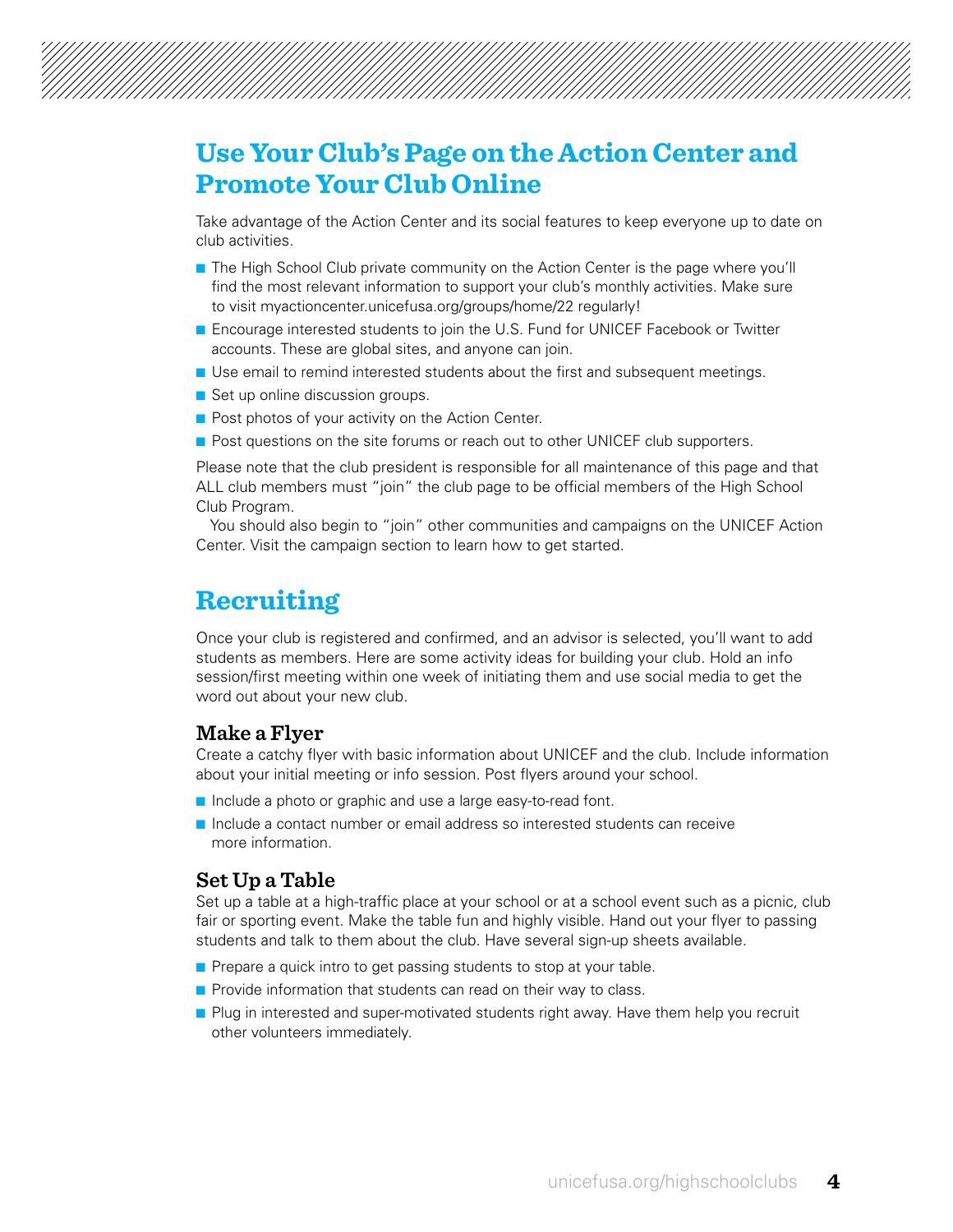### **Use Your Club's Page on the Action Center and Promote Your Club Online**

Take advantage of the Action Center and its social features to keep everyone up to date on club activities.

- **n** The High School Club private community on the Action Center is the page where you'll find the most relevant information to support your club's monthly activities. Make sure to visit [myactioncenter.unicefusa.org/groups/home/22](http://www.myactioncenter.unicefusa.org/groups/home/22) regularly!
- **n** Encourage interested students to join the U.S. Fund for UNICEF Facebook or Twitter accounts. These are global sites, and anyone can join.
- **n** Use email to remind interested students about the first and subsequent meetings.
- $\blacksquare$  Set up online discussion groups.
- **n** Post photos of your activity on the Action Center.
- **n** Post questions on the site forums or reach out to other UNICEF club supporters.

Please note that the club president is responsible for all maintenance of this page and that ALL club members must "join" the club page to be official members of the High School Club Program.

You should also begin to "join" other communities and campaigns on the UNICEF Action Center. Visit the campaign section to learn how to get started.

### **Recruiting**

Once your club is registered and confirmed, and an advisor is selected, you'll want to add students as members. Here are some activity ideas for building your club. Hold an info session/first meeting within one week of initiating them and use social media to get the word out about your new club.

#### **Make a Flyer**

Create a catchy flyer with basic information about UNICEF and the club. Include information about your initial meeting or info session. Post flyers around your school.

- n Include a photo or graphic and use a large easy-to-read font.
- n Include a contact number or email address so interested students can receive more information.

#### **Set Up a Table**

Set up a table at a high-traffic place at your school or at a school event such as a picnic, club fair or sporting event. Make the table fun and highly visible. Hand out your flyer to passing students and talk to them about the club. Have several sign-up sheets available.

- **n** Prepare a quick intro to get passing students to stop at your table.
- $\blacksquare$  Provide information that students can read on their way to class.
- **Plug in interested and super-motivated students right away. Have them help you recruit** other volunteers immediately.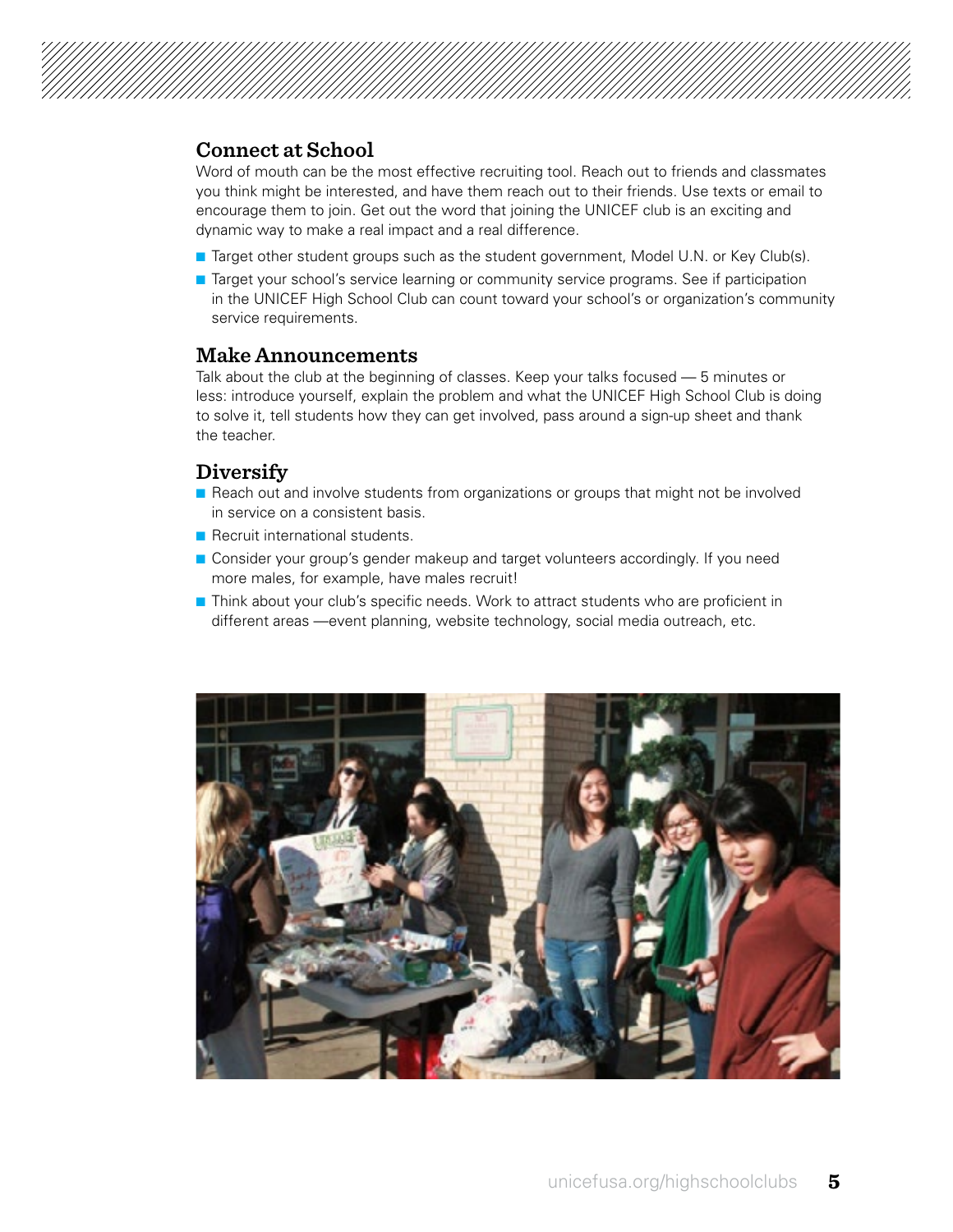

#### **Connect at School**

Word of mouth can be the most effective recruiting tool. Reach out to friends and classmates you think might be interested, and have them reach out to their friends. Use texts or email to encourage them to join. Get out the word that joining the UNICEF club is an exciting and dynamic way to make a real impact and a real difference.

- **n** Target other student groups such as the student government, Model U.N. or Key Club(s).
- **n** Target your school's service learning or community service programs. See if participation in the UNICEF High School Club can count toward your school's or organization's community service requirements.

#### **Make Announcements**

Talk about the club at the beginning of classes. Keep your talks focused — 5 minutes or less: introduce yourself, explain the problem and what the UNICEF High School Club is doing to solve it, tell students how they can get involved, pass around a sign-up sheet and thank the teacher.

#### **Diversify**

- **n** Reach out and involve students from organizations or groups that might not be involved in service on a consistent basis.
- **n** Recruit international students.
- **n** Consider your group's gender makeup and target volunteers accordingly. If you need more males, for example, have males recruit!
- **n** Think about your club's specific needs. Work to attract students who are proficient in different areas —event planning, website technology, social media outreach, etc.

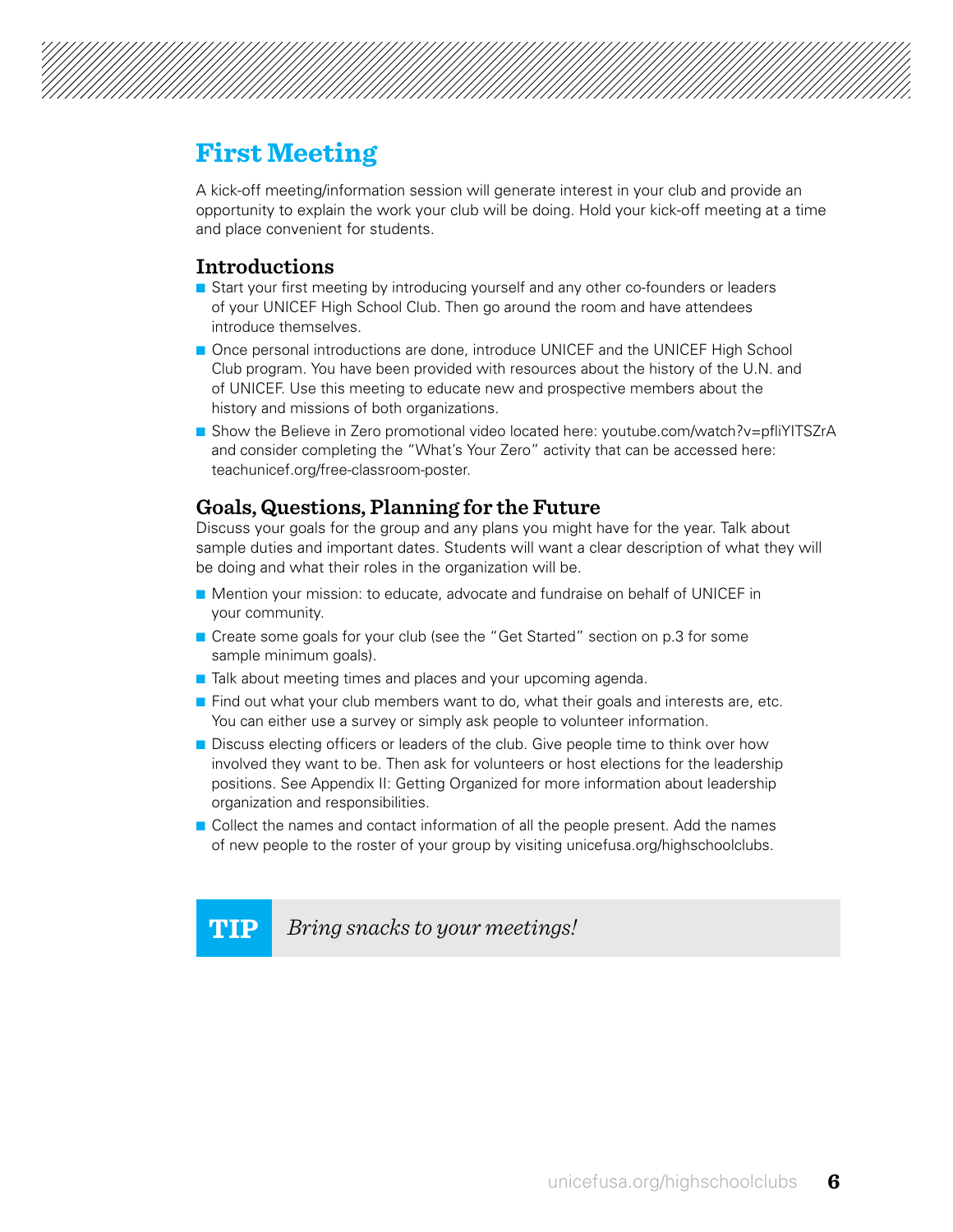### **First Meeting**

A kick-off meeting/information session will generate interest in your club and provide an opportunity to explain the work your club will be doing. Hold your kick-off meeting at a time and place convenient for students.

#### **Introductions**

- **n** Start your first meeting by introducing yourself and any other co-founders or leaders of your UNICEF High School Club. Then go around the room and have attendees introduce themselves.
- **n** Once personal introductions are done, introduce UNICEF and the UNICEF High School Club program. You have been provided with resources about the history of the U.N. and of UNICEF. Use this meeting to educate new and prospective members about the history and missions of both organizations.
- Show the Believe in Zero promotional video located here: [youtube.com/watch?v=pfliYITSZrA](http://www.youtube.com/watch?v=pfliYITSZrA) and consider completing the "What's Your Zero" activity that can be accessed here: [teachunicef.org/free-classroom-poster.](http://www.teachunicef.org/free-classroom-poster)

#### **Goals, Questions, Planning for the Future**

Discuss your goals for the group and any plans you might have for the year. Talk about sample duties and important dates. Students will want a clear description of what they will be doing and what their roles in the organization will be.

- **n** Mention your mission: to educate, advocate and fundraise on behalf of UNICEF in your community.
- **n** Create some goals for your club (see the "Get Started" section on p.3 for some sample minimum goals).
- $\blacksquare$  Talk about meeting times and places and your upcoming agenda.
- $\blacksquare$  Find out what your club members want to do, what their goals and interests are, etc. You can either use a survey or simply ask people to volunteer information.
- **n** Discuss electing officers or leaders of the club. Give people time to think over how involved they want to be. Then ask for volunteers or host elections for the leadership positions. See Appendix II: Getting Organized for more information about leadership organization and responsibilities.
- **n** Collect the names and contact information of all the people present. Add the names of new people to the roster of your group by visiting [unicefusa.org/highschoolclubs.](http://www.unicefusa.org/highschoolclubs)

**TIP** *Bring snacks to your meetings!*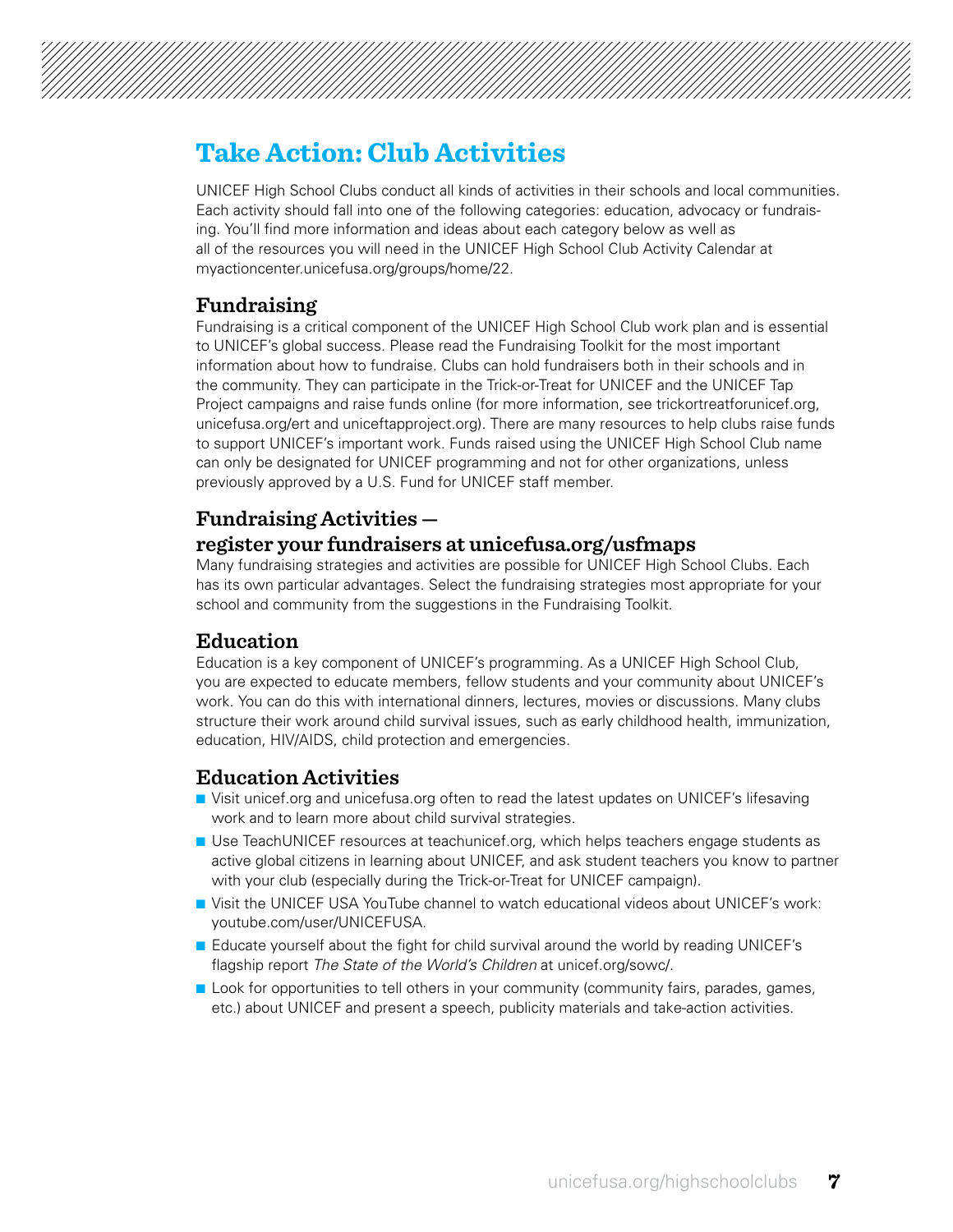

## **Take Action: Club Activities**

UNICEF High School Clubs conduct all kinds of activities in their schools and local communities. Each activity should fall into one of the following categories: education, advocacy or fundraising. You'll find more information and ideas about each category below as well as all of the resources you will need in the UNICEF High School Club Activity Calendar at myactioncenter.unicefusa.org/groups/home/22.

#### **Fundraising**

Fundraising is a critical component of the UNICEF High School Club work plan and is essential to UNICEF's global success. Please read the Fundraising Toolkit for the most important information about how to fundraise. Clubs can hold fundraisers both in their schools and in the community. They can participate in the Trick-or-Treat for UNICEF and the UNICEF Tap Project campaigns and raise funds online (for more information, see trickortreatforunicef.org, unicefusa.org/ert and uniceftapproject.org). There are many resources to help clubs raise funds to support UNICEF's important work. Funds raised using the UNICEF High School Club name can only be designated for UNICEF programming and not for other organizations, unless previously approved by a U.S. Fund for UNICEF staff member.

### **Fundraising Activities —**

#### **register your fundraisers at [unicefusa.org/usfmaps](http://www.unicefusa.org/usfmaps)**

Many fundraising strategies and activities are possible for UNICEF High School Clubs. Each has its own particular advantages. Select the fundraising strategies most appropriate for your school and community from the suggestions in the Fundraising Toolkit.

#### **Education**

Education is a key component of UNICEF's programming. As a UNICEF High School Club, you are expected to educate members, fellow students and your community about UNICEF's work. You can do this with international dinners, lectures, movies or discussions. Many clubs structure their work around child survival issues, such as early childhood health, immunization, education, HIV/AIDS, child protection and emergencies.

#### **Education Activities**

- **n** Visit unicef.org and [unicefusa.org](http://www.unicefusa.org) often to read the latest updates on UNICEF's lifesaving work and to learn more about child survival strategies.
- **D** Use TeachUNICEF resources at teachunicef.org, which helps teachers engage students as active global citizens in learning about UNICEF, and ask student teachers you know to partner with your club (especially during the Trick-or-Treat for UNICEF campaign).
- **n** Visit the UNICEF USA YouTube channel to watch educational videos about UNICEF's work: [youtube.com/user/UNICEFUSA](http://www.youtube.com/user/UNICEFUSA).
- **E** Educate yourself about the fight for child survival around the world by reading UNICEF's flagship report *The State of the World's Children* at unicef.org/sowc/.
- **n** Look for opportunities to tell others in your community (community fairs, parades, games, etc.) about UNICEF and present a speech, publicity materials and take-action activities.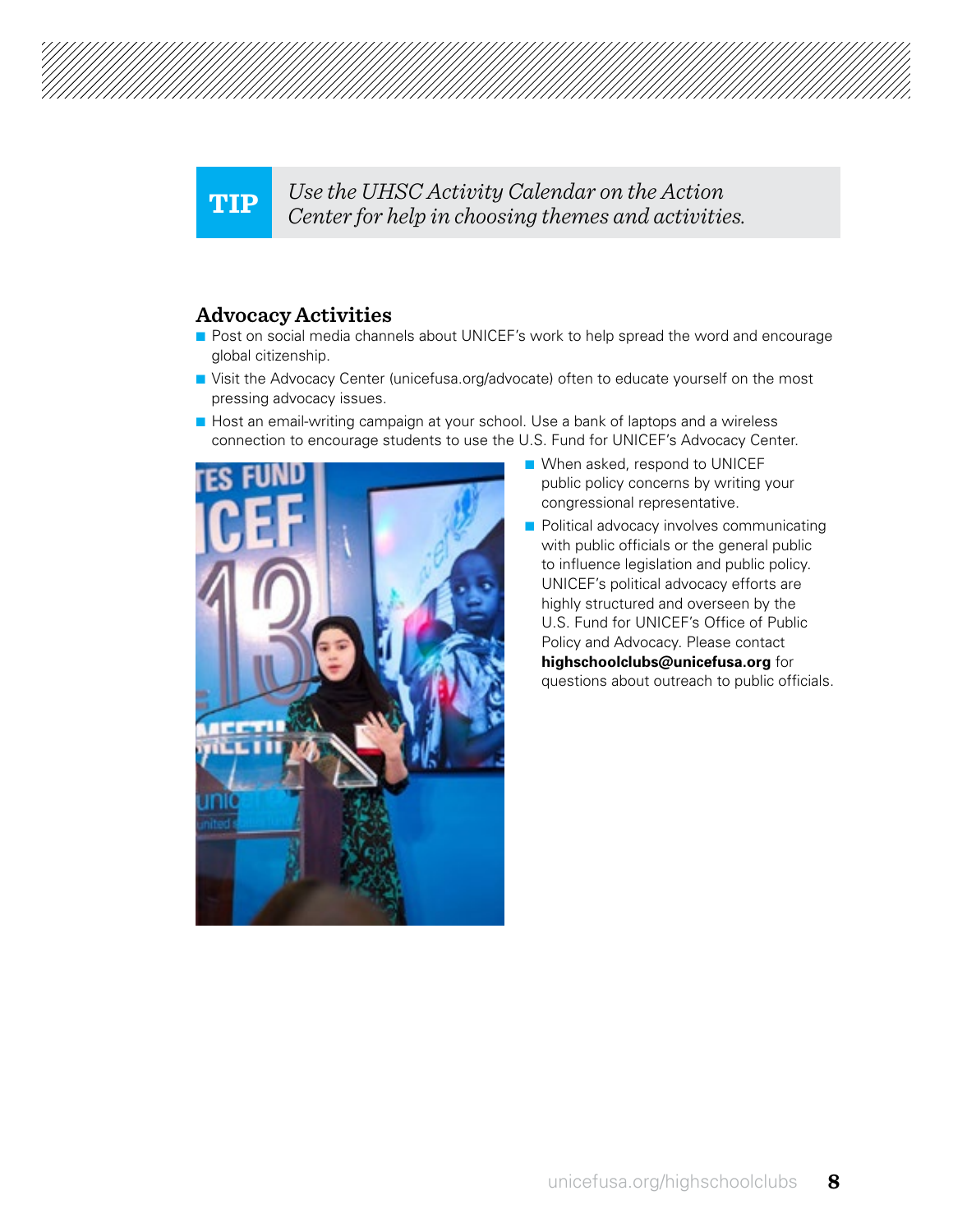

**TIP** *Use the UHSC Activity Calendar on the Action Center for help in choosing themes and activities.*

#### **Advocacy Activities**

- **n** Post on social media channels about UNICEF's work to help spread the word and encourage global citizenship.
- **n** Visit the Advocacy Center ([unicefusa.org/advocate](http://www.unicefusa.org/advocate)) often to educate yourself on the most pressing advocacy issues.
- $\blacksquare$  Host an email-writing campaign at your school. Use a bank of laptops and a wireless connection to encourage students to use the U.S. Fund for UNICEF's Advocacy Center.



- $\blacksquare$  When asked, respond to UNICEF public policy concerns by writing your congressional representative.
- **n** Political advocacy involves communicating with public officials or the general public to influence legislation and public policy. UNICEF's political advocacy efforts are highly structured and overseen by the U.S. Fund for UNICEF's Office of Public Policy and Advocacy. Please contact **highschoolclubs@unicefusa.org** for questions about outreach to public officials.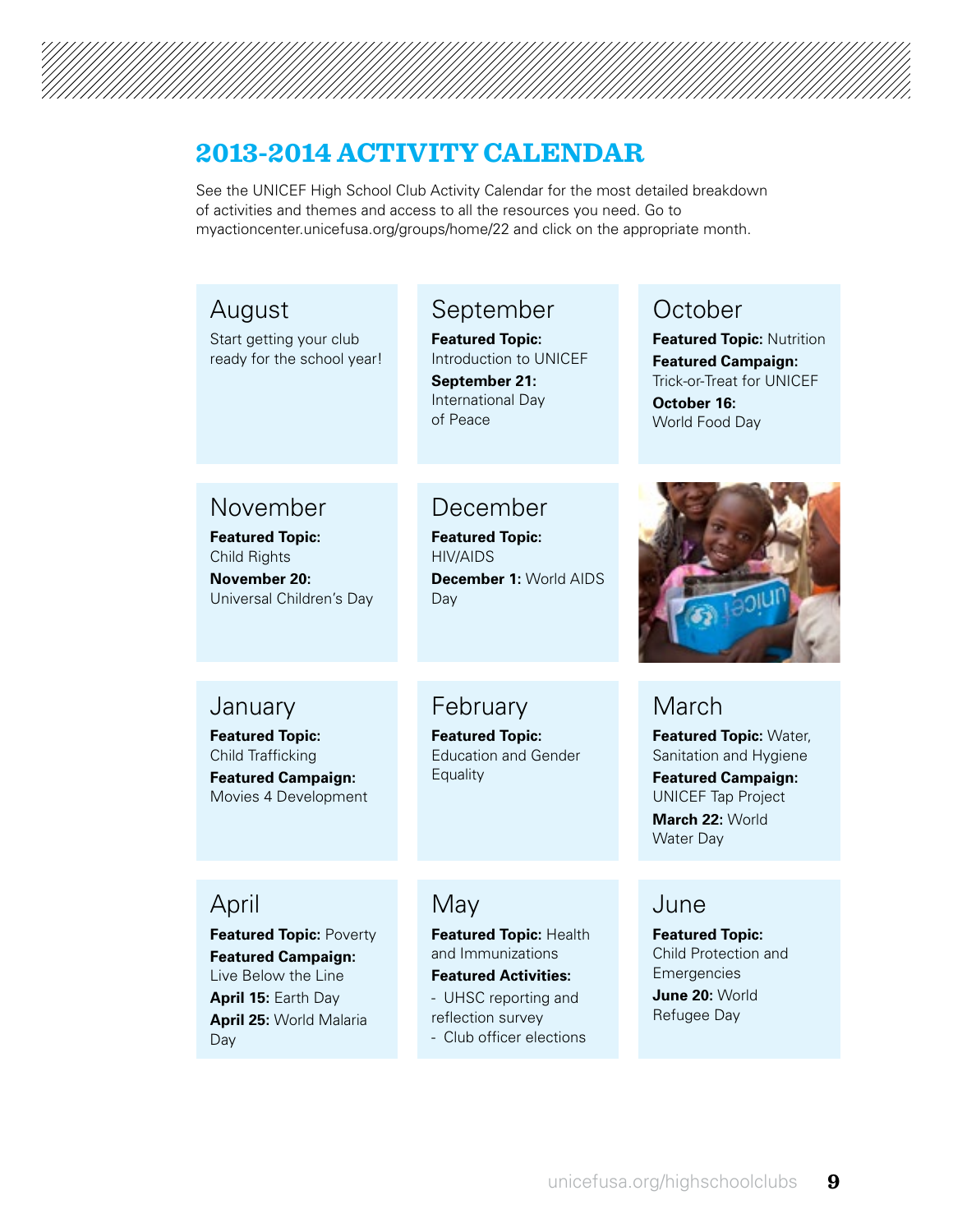### **2013-2014 ACTIVITY CALENDAR**

See the UNICEF High School Club Activity Calendar for the most detailed breakdown of activities and themes and access to all the resources you need. Go to myactioncenter.unicefusa.org/groups/home/22 and click on the appropriate month.

## September

**Featured Topic:** Introduction to UNICEF **September 21:**

International Day of Peace

### December

February **Featured Topic:** Education and Gender

**Equality** 

**Featured Topic:** HIV/AIDS **December 1:** World AIDS Day

### **January**

November **Featured Topic:** Child Rights **November 20:** 

August

Start getting your club ready for the school year!

**Featured Topic:** Child Trafficking **Featured Campaign:**  Movies 4 Development

Universal Children's Day

April

**Featured Topic:** Poverty **Featured Campaign:**  Live Below the Line **April 15:** Earth Day **April 25:** World Malaria Day

### May

**Featured Topic:** Health and Immunizations **Featured Activities:**  - UHSC reporting and reflection survey - Club officer elections

### **October**

**Featured Topic:** Nutrition **Featured Campaign:**  Trick-or-Treat for UNICEF **October 16:**  World Food Day



### March

**Featured Topic:** Water, Sanitation and Hygiene **Featured Campaign:**  UNICEF Tap Project **March 22:** World Water Day

### June

**Featured Topic:** Child Protection and **Emergencies June 20:** World Refugee Day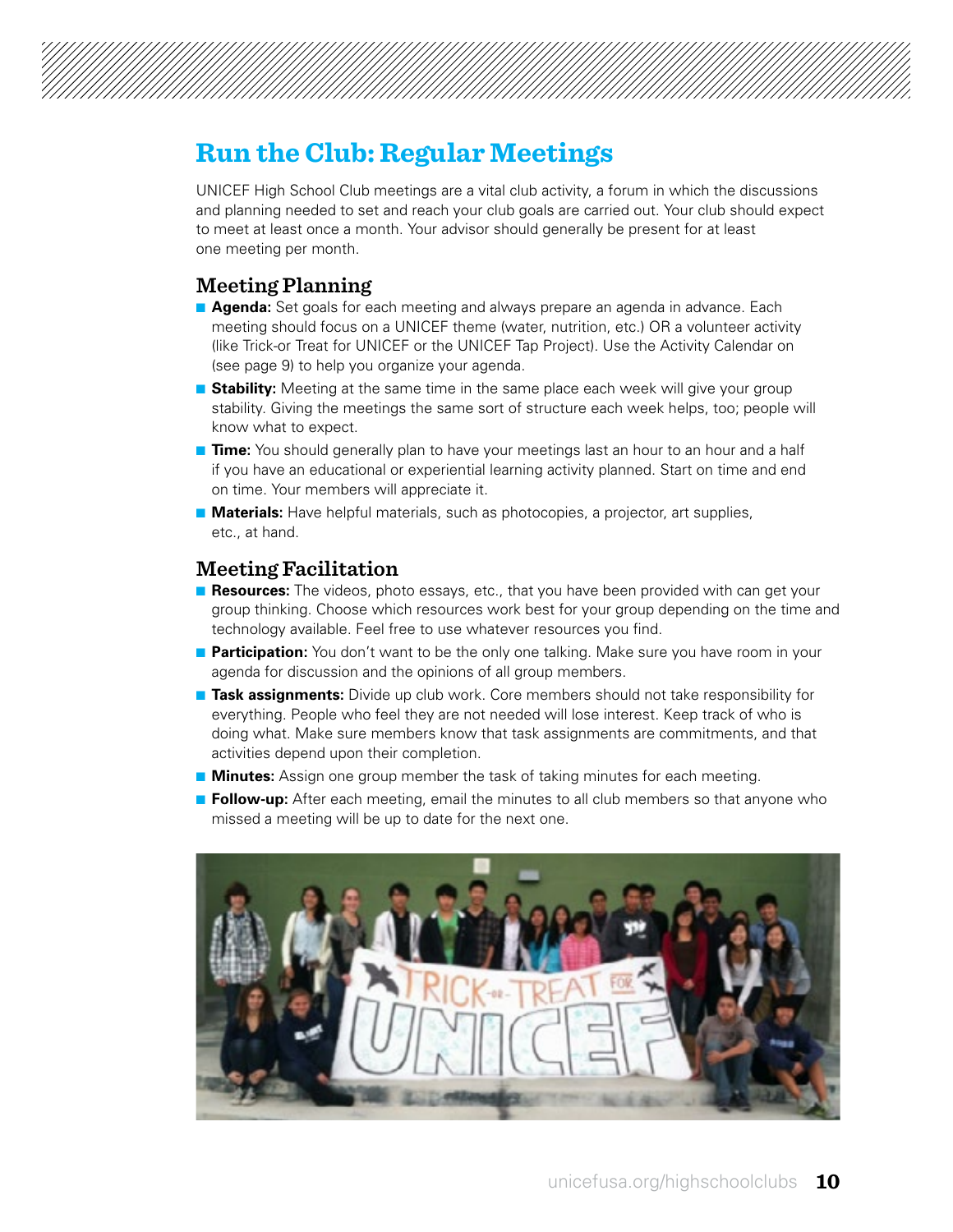

### **Run the Club: Regular Meetings**

UNICEF High School Club meetings are a vital club activity, a forum in which the discussions and planning needed to set and reach your club goals are carried out. Your club should expect to meet at least once a month. Your advisor should generally be present for at least one meeting per month.

#### **Meeting Planning**

- **Agenda:** Set goals for each meeting and always prepare an agenda in advance. Each meeting should focus on a UNICEF theme (water, nutrition, etc.) OR a volunteer activity (like Trick-or Treat for UNICEF or the UNICEF Tap Project). Use the Activity Calendar on (see page 9) to help you organize your agenda.
- **Stability:** Meeting at the same time in the same place each week will give your group stability. Giving the meetings the same sort of structure each week helps, too; people will know what to expect.
- **Time:** You should generally plan to have your meetings last an hour to an hour and a half if you have an educational or experiential learning activity planned. Start on time and end on time. Your members will appreciate it.
- **n Materials:** Have helpful materials, such as photocopies, a projector, art supplies, etc., at hand.

#### **Meeting Facilitation**

- **Resources:** The videos, photo essays, etc., that you have been provided with can get your group thinking. Choose which resources work best for your group depending on the time and technology available. Feel free to use whatever resources you find.
- **Participation:** You don't want to be the only one talking. Make sure you have room in your agenda for discussion and the opinions of all group members.
- **Task assignments:** Divide up club work. Core members should not take responsibility for everything. People who feel they are not needed will lose interest. Keep track of who is doing what. Make sure members know that task assignments are commitments, and that activities depend upon their completion.
- **n Minutes:** Assign one group member the task of taking minutes for each meeting.
- **Follow-up:** After each meeting, email the minutes to all club members so that anyone who missed a meeting will be up to date for the next one.

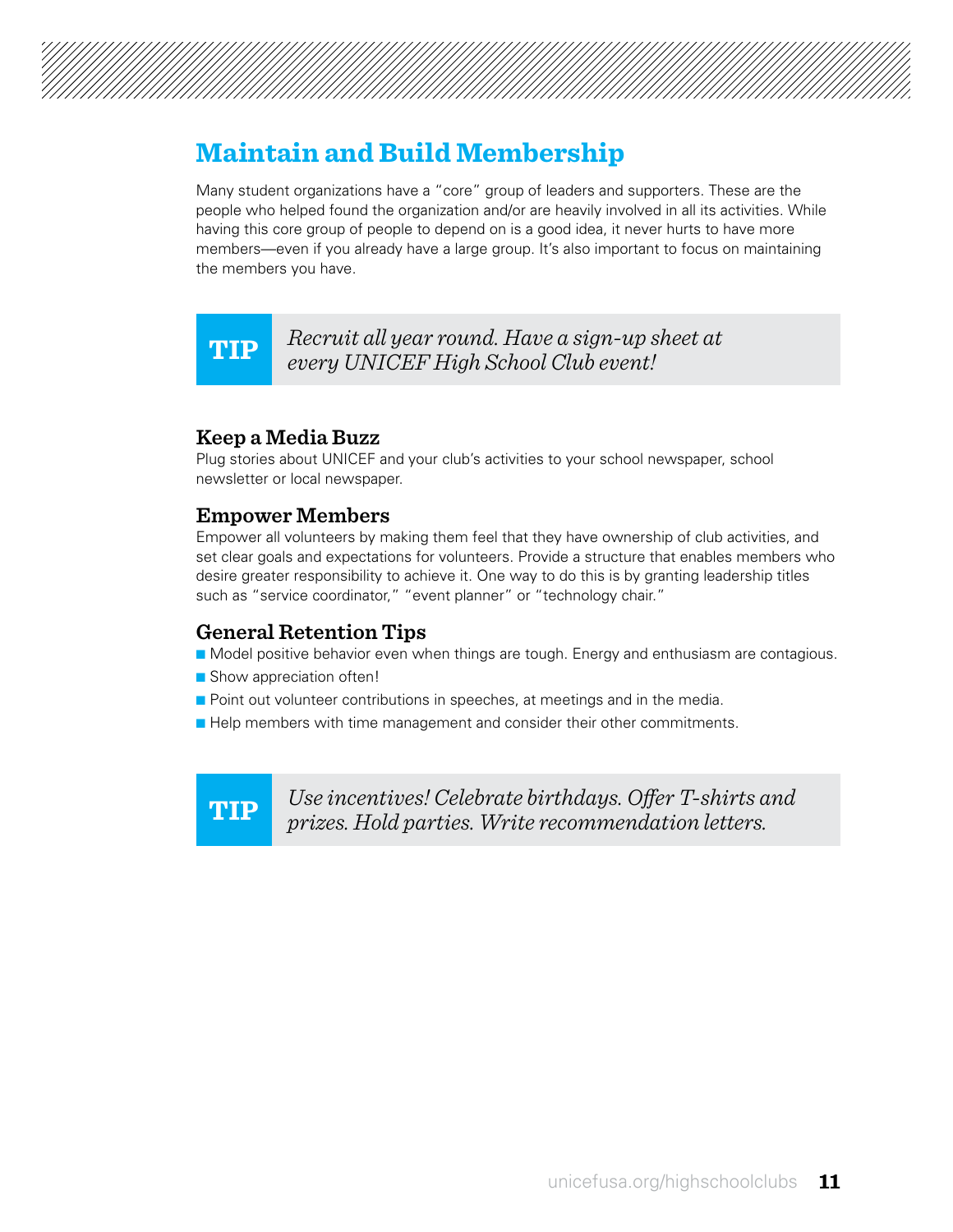

## **Maintain and Build Membership**

Many student organizations have a "core" group of leaders and supporters. These are the people who helped found the organization and/or are heavily involved in all its activities. While having this core group of people to depend on is a good idea, it never hurts to have more members—even if you already have a large group. It's also important to focus on maintaining the members you have.

**TIP** *Recruit all year round. Have a sign-up sheet at every UNICEF High School Club event!*

#### **Keep a Media Buzz**

Plug stories about UNICEF and your club's activities to your school newspaper, school newsletter or local newspaper.

#### **Empower Members**

Empower all volunteers by making them feel that they have ownership of club activities, and set clear goals and expectations for volunteers. Provide a structure that enables members who desire greater responsibility to achieve it. One way to do this is by granting leadership titles such as "service coordinator," "event planner" or "technology chair."

#### **General Retention Tips**

- **n** Model positive behavior even when things are tough. Energy and enthusiasm are contagious.
- Show appreciation often!
- **n** Point out volunteer contributions in speeches, at meetings and in the media.
- **Help members with time management and consider their other commitments.**

**TIP**

*Use incentives! Celebrate birthdays. Offer T-shirts and prizes. Hold parties. Write recommendation letters.*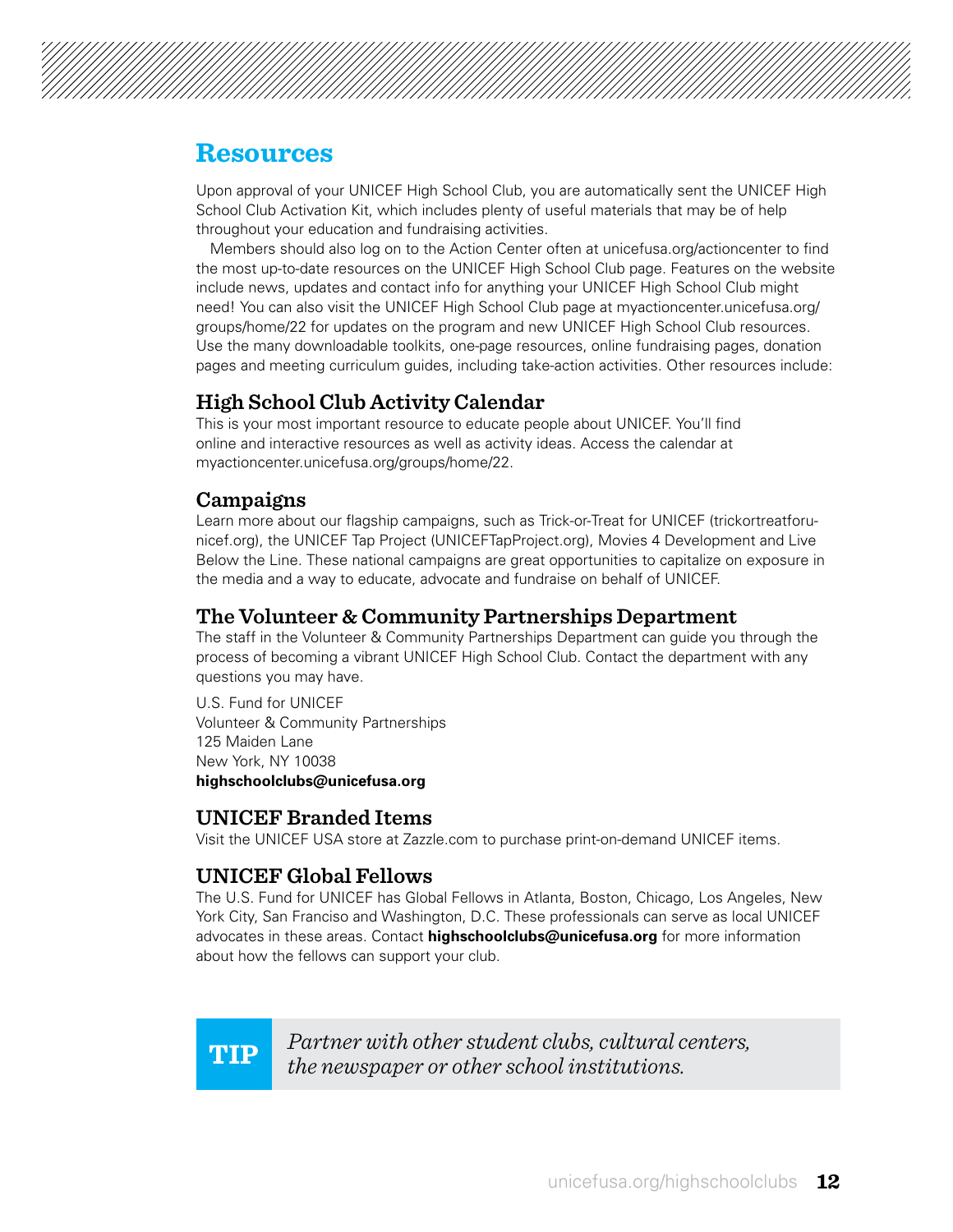

### **Resources**

Upon approval of your UNICEF High School Club, you are automatically sent the UNICEF High School Club Activation Kit, which includes plenty of useful materials that may be of help throughout your education and fundraising activities.

Members should also log on to the Action Center often at [unicefusa.org/actioncenter](http://www.unicefusa.org/actioncenter) to find the most up-to-date resources on the UNICEF High School Club page. Features on the website include news, updates and contact info for anything your UNICEF High School Club might need! You can also visit the UNICEF High School Club page at [myactioncenter.unicefusa.org/](http://www.myactioncenter.unicefusa.org/groups/home/22) [groups/home/22](http://www.myactioncenter.unicefusa.org/groups/home/22) for updates on the program and new UNICEF High School Club resources. Use the many downloadable toolkits, one-page resources, online fundraising pages, donation pages and meeting curriculum guides, including take-action activities. Other resources include:

### **High School Club Activity Calendar**

This is your most important resource to educate people about UNICEF. You'll find online and interactive resources as well as activity ideas. Access the calendar at [myactioncenter.unicefusa.org/groups/home/22](http://www.myactioncenter.unicefusa.org/groups/home/22).

#### **Campaigns**

Learn more about our flagship campaigns, such as Trick-or-Treat for UNICEF (trickortreatforunicef.org), the UNICEF Tap Project (UNICEFTapProject.org), Movies 4 Development and Live Below the Line. These national campaigns are great opportunities to capitalize on exposure in the media and a way to educate, advocate and fundraise on behalf of UNICEF.

#### **The Volunteer & Community Partnerships Department**

The staff in the Volunteer & Community Partnerships Department can guide you through the process of becoming a vibrant UNICEF High School Club. Contact the department with any questions you may have.

U.S. Fund for UNICEF Volunteer & Community Partnerships 125 Maiden Lane New York, NY 10038 **highschoolclubs@unicefusa.org** 

#### **UNICEF Branded Items**

Visit the UNICEF USA store at Zazzle.com to purchase print-on-demand UNICEF items.

#### **UNICEF Global Fellows**

The U.S. Fund for UNICEF has Global Fellows in Atlanta, Boston, Chicago, Los Angeles, New York City, San Franciso and Washington, D.C. These professionals can serve as local UNICEF advocates in these areas. Contact **highschoolclubs@unicefusa.org** for more information about how the fellows can support your club.

**TIP** *Partner with other student clubs, cultural centers, the newspaper or other school institutions.*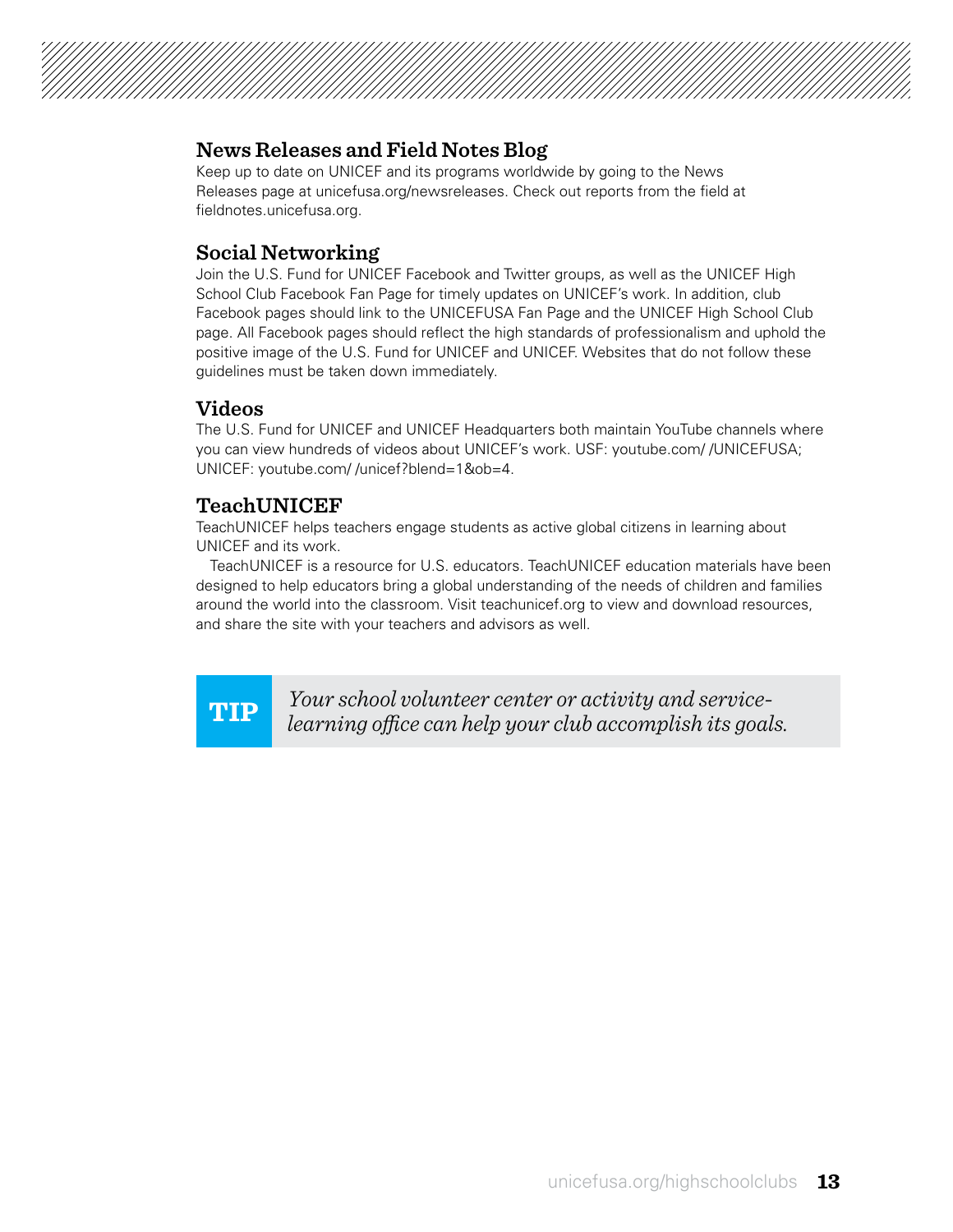#### **News Releases and Field Notes Blog**

Keep up to date on UNICEF and its programs worldwide by going to the News Releases page at [unicefusa.org/newsreleases](http://www.unicefusa.org/newsreleases). Check out reports from the field at fieldnotes.unicefusa.org.

#### **Social Networking**

Join the U.S. Fund for UNICEF Facebook and Twitter groups, as well as the UNICEF High School Club Facebook Fan Page for timely updates on UNICEF's work. In addition, club Facebook pages should link to the UNICEFUSA Fan Page and the UNICEF High School Club page. All Facebook pages should reflect the high standards of professionalism and uphold the positive image of the U.S. Fund for UNICEF and UNICEF. Websites that do not follow these guidelines must be taken down immediately.

#### **Videos**

The U.S. Fund for UNICEF and UNICEF Headquarters both maintain YouTube channels where you can view hundreds of videos about UNICEF's work. USF: [youtube.com/ /UNICEFUSA;](http://www.youtube.com/%20/UNICEFUSA) UNICEF: [youtube.com/ /unicef?blend=1&ob=4.](http://www.youtube.com/%20/unicef%3Fblend%3D1%26ob%3D4)

#### **TeachUNICEF**

TeachUNICEF helps teachers engage students as active global citizens in learning about UNICEF and its work.

TeachUNICEF is a resource for U.S. educators. TeachUNICEF education materials have been designed to help educators bring a global understanding of the needs of children and families around the world into the classroom. Visit teachunicef.org to view and download resources, and share the site with your teachers and advisors as well.

**TIP** *Your school volunteer center or activity and servicelearning office can help your club accomplish its goals.*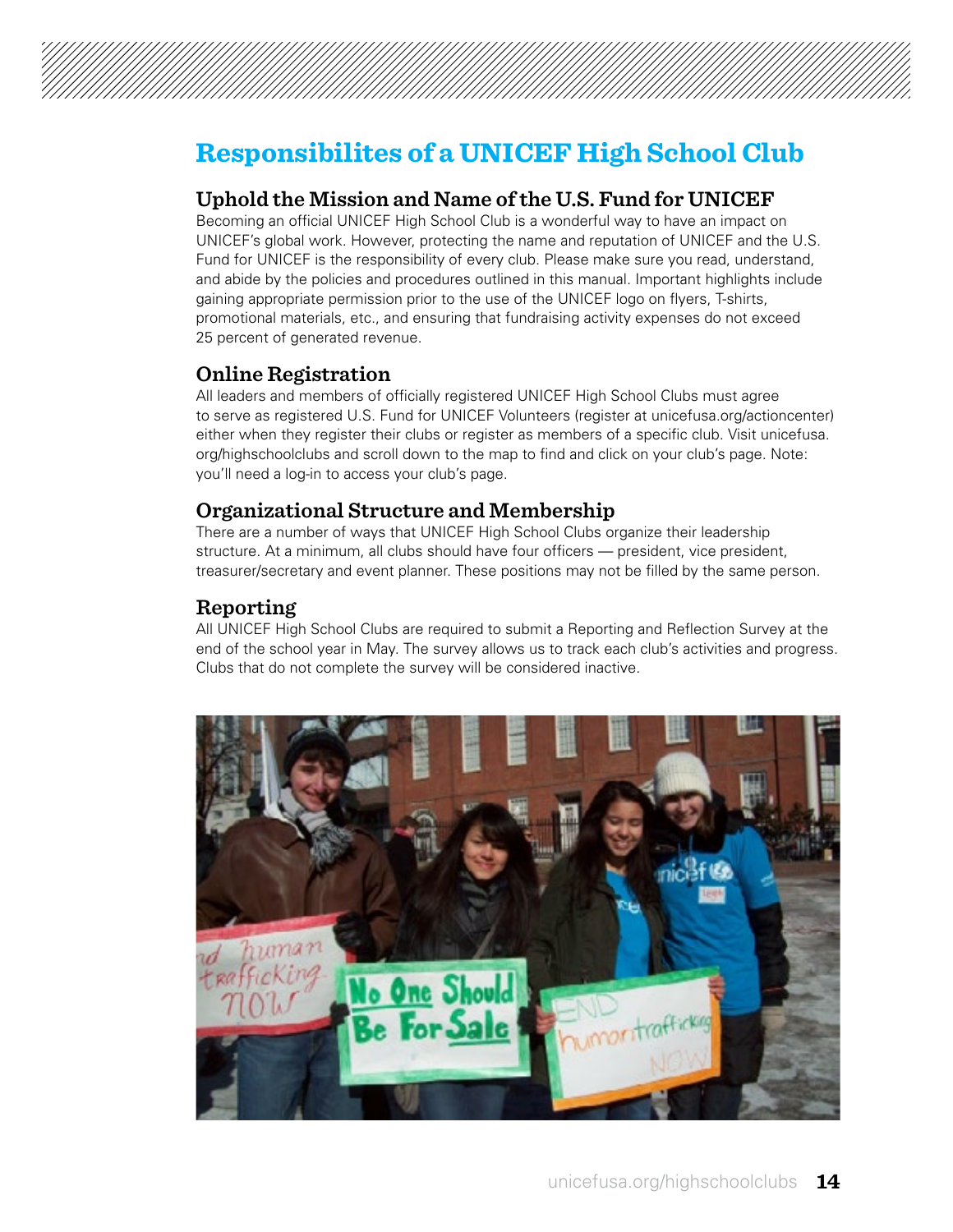

## **Responsibilites of a UNICEF High School Club**

#### **Uphold the Mission and Name of the U.S. Fund for UNICEF**

Becoming an official UNICEF High School Club is a wonderful way to have an impact on UNICEF's global work. However, protecting the name and reputation of UNICEF and the U.S. Fund for UNICEF is the responsibility of every club. Please make sure you read, understand, and abide by the policies and procedures outlined in this manual. Important highlights include gaining appropriate permission prior to the use of the UNICEF logo on flyers, T-shirts, promotional materials, etc., and ensuring that fundraising activity expenses do not exceed 25 percent of generated revenue.

#### **Online Registration**

All leaders and members of officially registered UNICEF High School Clubs must agree to serve as registered U.S. Fund for UNICEF Volunteers (register at [unicefusa.org/actioncenter](http://www.unicefusa.org/actioncenter)) either when they register their clubs or register as members of a specific club. Visit [unicefusa.](http://www.unicefusa.org/highschoolclubs) [org/highschoolclubs](http://www.unicefusa.org/highschoolclubs) and scroll down to the map to find and click on your club's page. Note: you'll need a log-in to access your club's page.

#### **Organizational Structure and Membership**

There are a number of ways that UNICEF High School Clubs organize their leadership structure. At a minimum, all clubs should have four officers — president, vice president, treasurer/secretary and event planner. These positions may not be filled by the same person.

#### **Reporting**

All UNICEF High School Clubs are required to submit a Reporting and Reflection Survey at the end of the school year in May. The survey allows us to track each club's activities and progress. Clubs that do not complete the survey will be considered inactive.

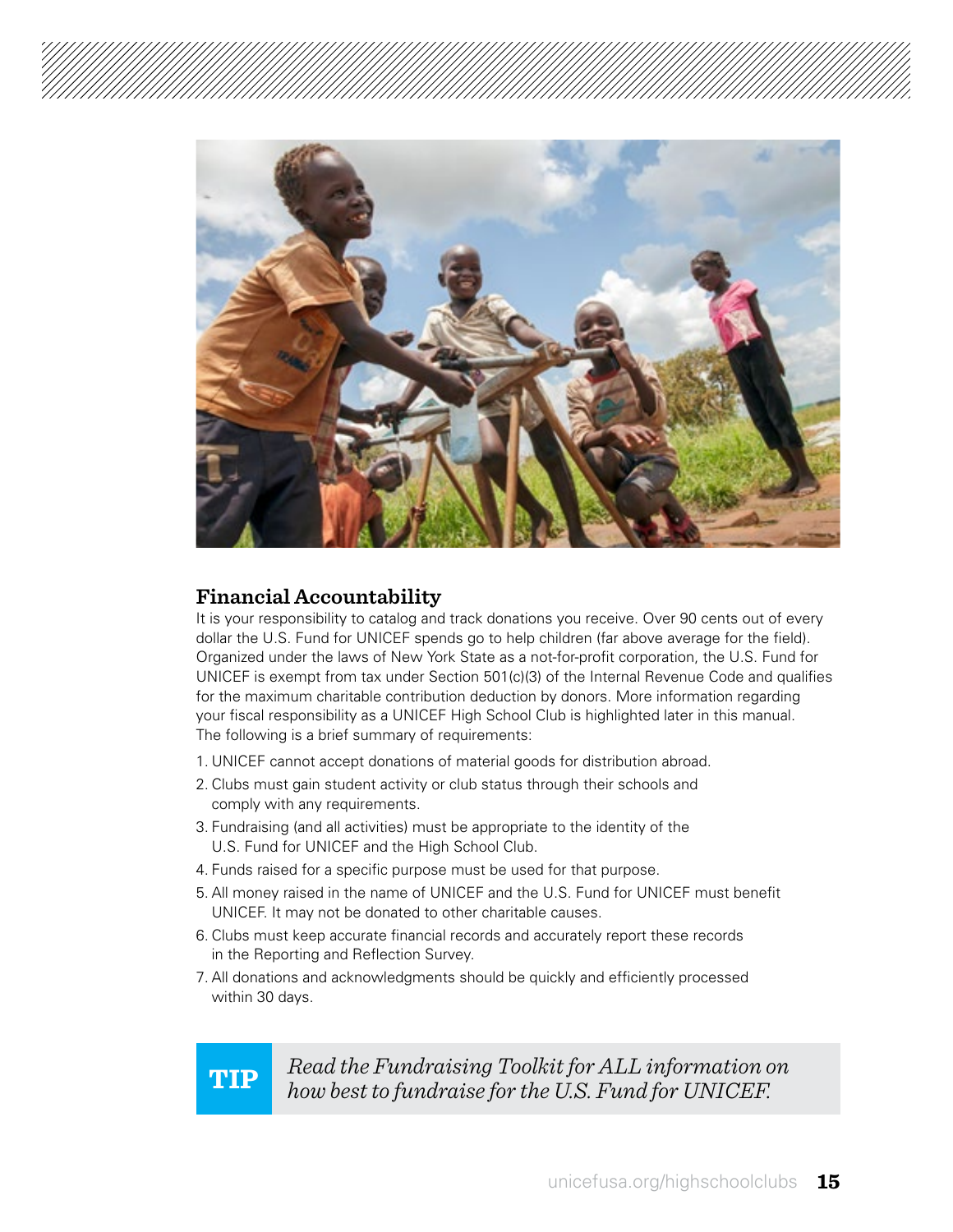

#### **Financial Accountability**

It is your responsibility to catalog and track donations you receive. Over 90 cents out of every dollar the U.S. Fund for UNICEF spends go to help children (far above average for the field). Organized under the laws of New York State as a not-for-profit corporation, the U.S. Fund for UNICEF is exempt from tax under Section 501(c)(3) of the Internal Revenue Code and qualifies for the maximum charitable contribution deduction by donors. More information regarding your fiscal responsibility as a UNICEF High School Club is highlighted later in this manual. The following is a brief summary of requirements:

- 1. UNICEF cannot accept donations of material goods for distribution abroad.
- 2. Clubs must gain student activity or club status through their schools and comply with any requirements.
- 3. Fundraising (and all activities) must be appropriate to the identity of the U.S. Fund for UNICEF and the High School Club.
- 4. Funds raised for a specific purpose must be used for that purpose.
- 5. All money raised in the name of UNICEF and the U.S. Fund for UNICEF must benefit UNICEF. It may not be donated to other charitable causes.
- 6. Clubs must keep accurate financial records and accurately report these records in the Reporting and Reflection Survey.
- 7. All donations and acknowledgments should be quickly and efficiently processed within 30 days.

**TIP** *Read the Fundraising Toolkit for ALL information on how best to fundraise for the U.S. Fund for UNICEF.*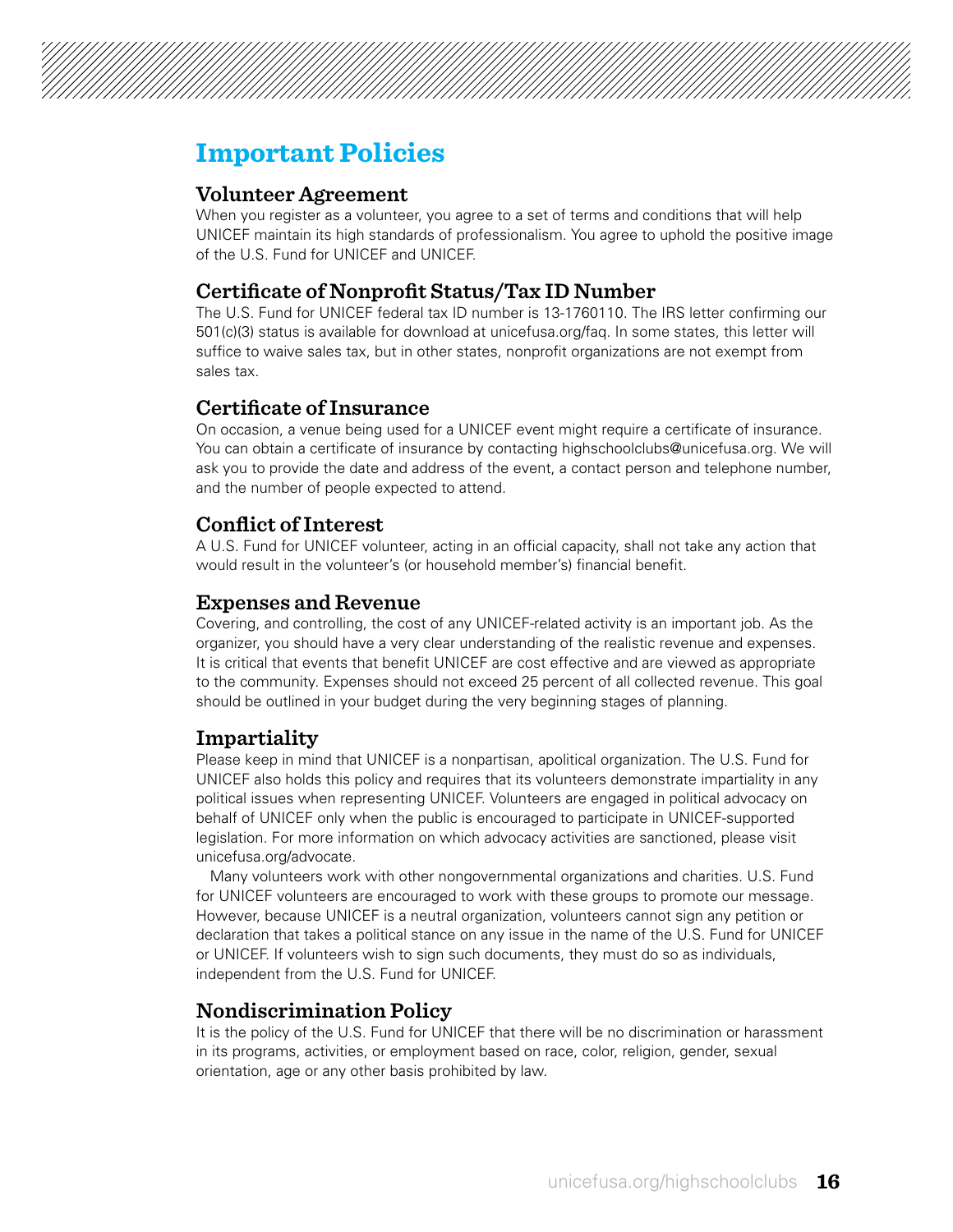### **Important Policies**

#### **Volunteer Agreement**

When you register as a volunteer, you agree to a set of terms and conditions that will help UNICEF maintain its high standards of professionalism. You agree to uphold the positive image of the U.S. Fund for UNICEF and UNICEF.

#### **Certificate of Nonprofit Status/Tax ID Number**

The U.S. Fund for UNICEF federal tax ID number is 13-1760110. The IRS letter confirming our 501(c)(3) status is available for download at [unicefusa.org/faq.](http://www.unicefusa.org/faq) In some states, this letter will suffice to waive sales tax, but in other states, nonprofit organizations are not exempt from sales tax.

#### **Certificate of Insurance**

On occasion, a venue being used for a UNICEF event might require a certificate of insurance. You can obtain a certificate of insurance by contacting highschoolclubs@unicefusa.org. We will ask you to provide the date and address of the event, a contact person and telephone number, and the number of people expected to attend.

### **Conflict of Interest**

A U.S. Fund for UNICEF volunteer, acting in an official capacity, shall not take any action that would result in the volunteer's (or household member's) financial benefit.

#### **Expenses and Revenue**

Covering, and controlling, the cost of any UNICEF-related activity is an important job. As the organizer, you should have a very clear understanding of the realistic revenue and expenses. It is critical that events that benefit UNICEF are cost effective and are viewed as appropriate to the community. Expenses should not exceed 25 percent of all collected revenue. This goal should be outlined in your budget during the very beginning stages of planning.

#### **Impartiality**

Please keep in mind that UNICEF is a nonpartisan, apolitical organization. The U.S. Fund for UNICEF also holds this policy and requires that its volunteers demonstrate impartiality in any political issues when representing UNICEF. Volunteers are engaged in political advocacy on behalf of UNICEF only when the public is encouraged to participate in UNICEF-supported legislation. For more information on which advocacy activities are sanctioned, please visit [unicefusa.org/advocate](http://www.unicefusa.org/advocate).

Many volunteers work with other nongovernmental organizations and charities. U.S. Fund for UNICEF volunteers are encouraged to work with these groups to promote our message. However, because UNICEF is a neutral organization, volunteers cannot sign any petition or declaration that takes a political stance on any issue in the name of the U.S. Fund for UNICEF or UNICEF. If volunteers wish to sign such documents, they must do so as individuals, independent from the U.S. Fund for UNICEF.

#### **Nondiscrimination Policy**

It is the policy of the U.S. Fund for UNICEF that there will be no discrimination or harassment in its programs, activities, or employment based on race, color, religion, gender, sexual orientation, age or any other basis prohibited by law.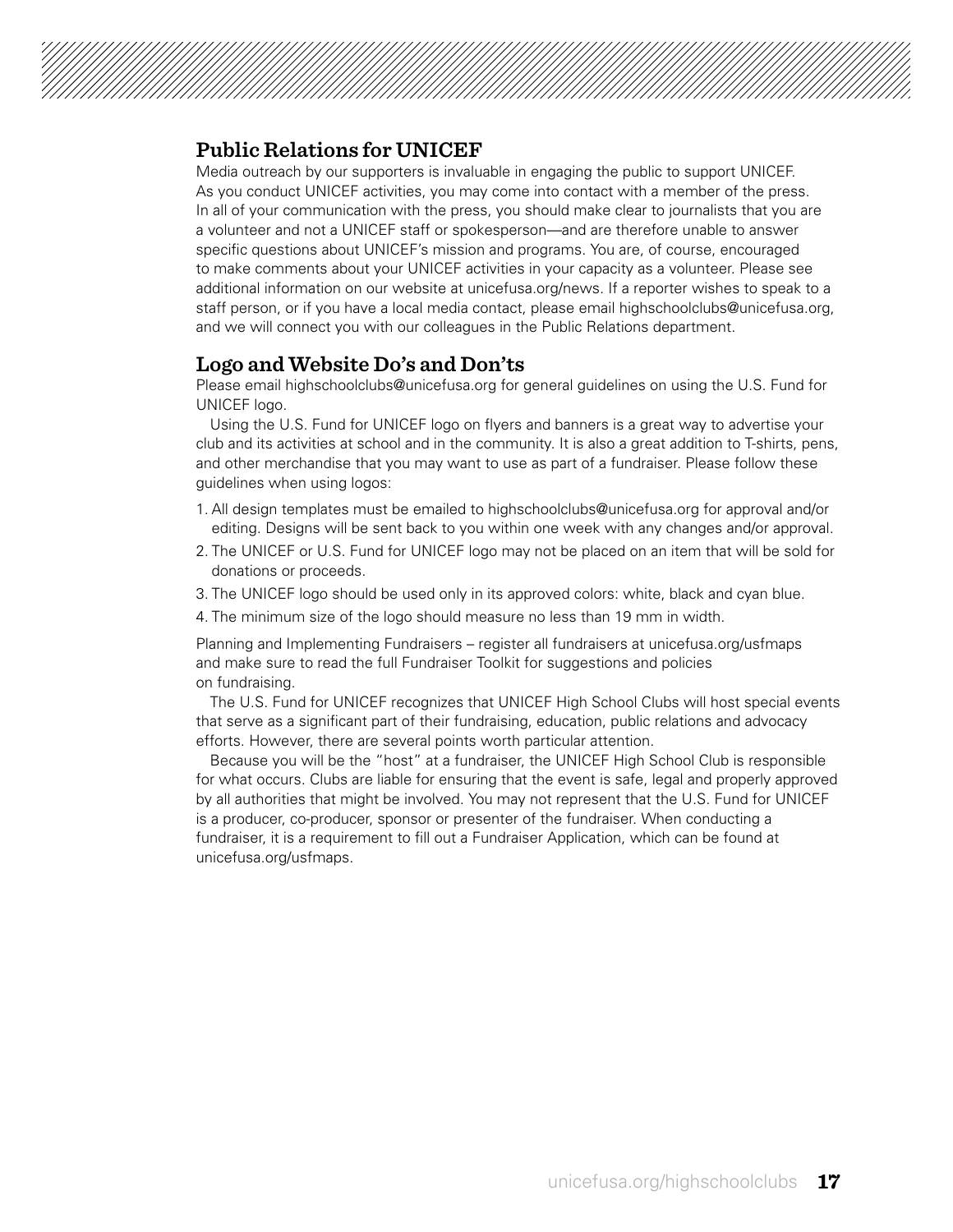#### **Public Relations for UNICEF**

Media outreach by our supporters is invaluable in engaging the public to support UNICEF. As you conduct UNICEF activities, you may come into contact with a member of the press. In all of your communication with the press, you should make clear to journalists that you are a volunteer and not a UNICEF staff or spokesperson—and are therefore unable to answer specific questions about UNICEF's mission and programs. You are, of course, encouraged to make comments about your UNICEF activities in your capacity as a volunteer. Please see additional information on our website at [unicefusa.org/news.](http://www.unicefusa.org/news) If a reporter wishes to speak to a staff person, or if you have a local media contact, please email highschoolclubs@unicefusa.org, and we will connect you with our colleagues in the Public Relations department.

#### **Logo and Website Do's and Don'ts**

Please email highschoolclubs@unicefusa.org for general guidelines on using the U.S. Fund for UNICEF logo.

Using the U.S. Fund for UNICEF logo on flyers and banners is a great way to advertise your club and its activities at school and in the community. It is also a great addition to T-shirts, pens, and other merchandise that you may want to use as part of a fundraiser. Please follow these guidelines when using logos:

- 1. All design templates must be emailed to highschoolclubs@unicefusa.org for approval and/or editing. Designs will be sent back to you within one week with any changes and/or approval.
- 2. The UNICEF or U.S. Fund for UNICEF logo may not be placed on an item that will be sold for donations or proceeds.
- 3. The UNICEF logo should be used only in its approved colors: white, black and cyan blue.
- 4. The minimum size of the logo should measure no less than 19 mm in width.

Planning and Implementing Fundraisers – register all fundraisers at [unicefusa.org/usfmaps](http://www.unicefusa.org/usfmaps)  and make sure to read the full Fundraiser Toolkit for suggestions and policies on fundraising.

The U.S. Fund for UNICEF recognizes that UNICEF High School Clubs will host special events that serve as a significant part of their fundraising, education, public relations and advocacy efforts. However, there are several points worth particular attention.

Because you will be the "host" at a fundraiser, the UNICEF High School Club is responsible for what occurs. Clubs are liable for ensuring that the event is safe, legal and properly approved by all authorities that might be involved. You may not represent that the U.S. Fund for UNICEF is a producer, co-producer, sponsor or presenter of the fundraiser. When conducting a fundraiser, it is a requirement to fill out a Fundraiser Application, which can be found at [unicefusa.org/usfmaps.](http://www.unicefusa.org/usfmaps)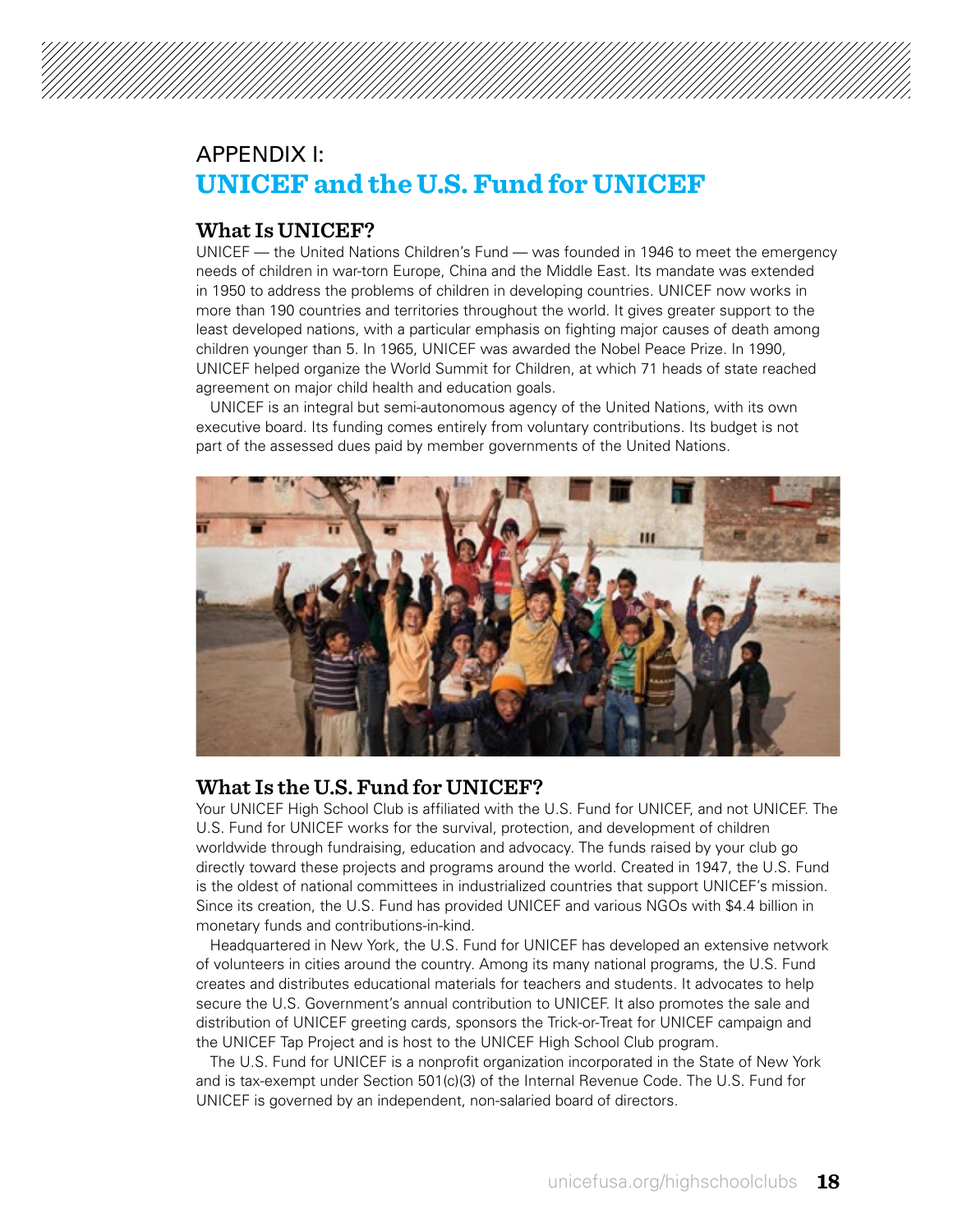### APPENDIX I: **UNICEF and the U.S. Fund for UNICEF**

#### **What Is UNICEF?**

UNICEF — the United Nations Children's Fund — was founded in 1946 to meet the emergency needs of children in war-torn Europe, China and the Middle East. Its mandate was extended in 1950 to address the problems of children in developing countries. UNICEF now works in more than 190 countries and territories throughout the world. It gives greater support to the least developed nations, with a particular emphasis on fighting major causes of death among children younger than 5. In 1965, UNICEF was awarded the Nobel Peace Prize. In 1990, UNICEF helped organize the World Summit for Children, at which 71 heads of state reached agreement on major child health and education goals.

UNICEF is an integral but semi-autonomous agency of the United Nations, with its own executive board. Its funding comes entirely from voluntary contributions. Its budget is not part of the assessed dues paid by member governments of the United Nations.



#### **What Is the U.S. Fund for UNICEF?**

Your UNICEF High School Club is affiliated with the U.S. Fund for UNICEF, and not UNICEF. The U.S. Fund for UNICEF works for the survival, protection, and development of children worldwide through fundraising, education and advocacy. The funds raised by your club go directly toward these projects and programs around the world. Created in 1947, the U.S. Fund is the oldest of national committees in industrialized countries that support UNICEF's mission. Since its creation, the U.S. Fund has provided UNICEF and various NGOs with \$4.4 billion in monetary funds and contributions-in-kind.

Headquartered in New York, the U.S. Fund for UNICEF has developed an extensive network of volunteers in cities around the country. Among its many national programs, the U.S. Fund creates and distributes educational materials for teachers and students. It advocates to help secure the U.S. Government's annual contribution to UNICEF. It also promotes the sale and distribution of UNICEF greeting cards, sponsors the Trick-or-Treat for UNICEF campaign and the UNICEF Tap Project and is host to the UNICEF High School Club program.

The U.S. Fund for UNICEF is a nonprofit organization incorporated in the State of New York and is tax-exempt under Section 501(c)(3) of the Internal Revenue Code. The U.S. Fund for UNICEF is governed by an independent, non-salaried board of directors.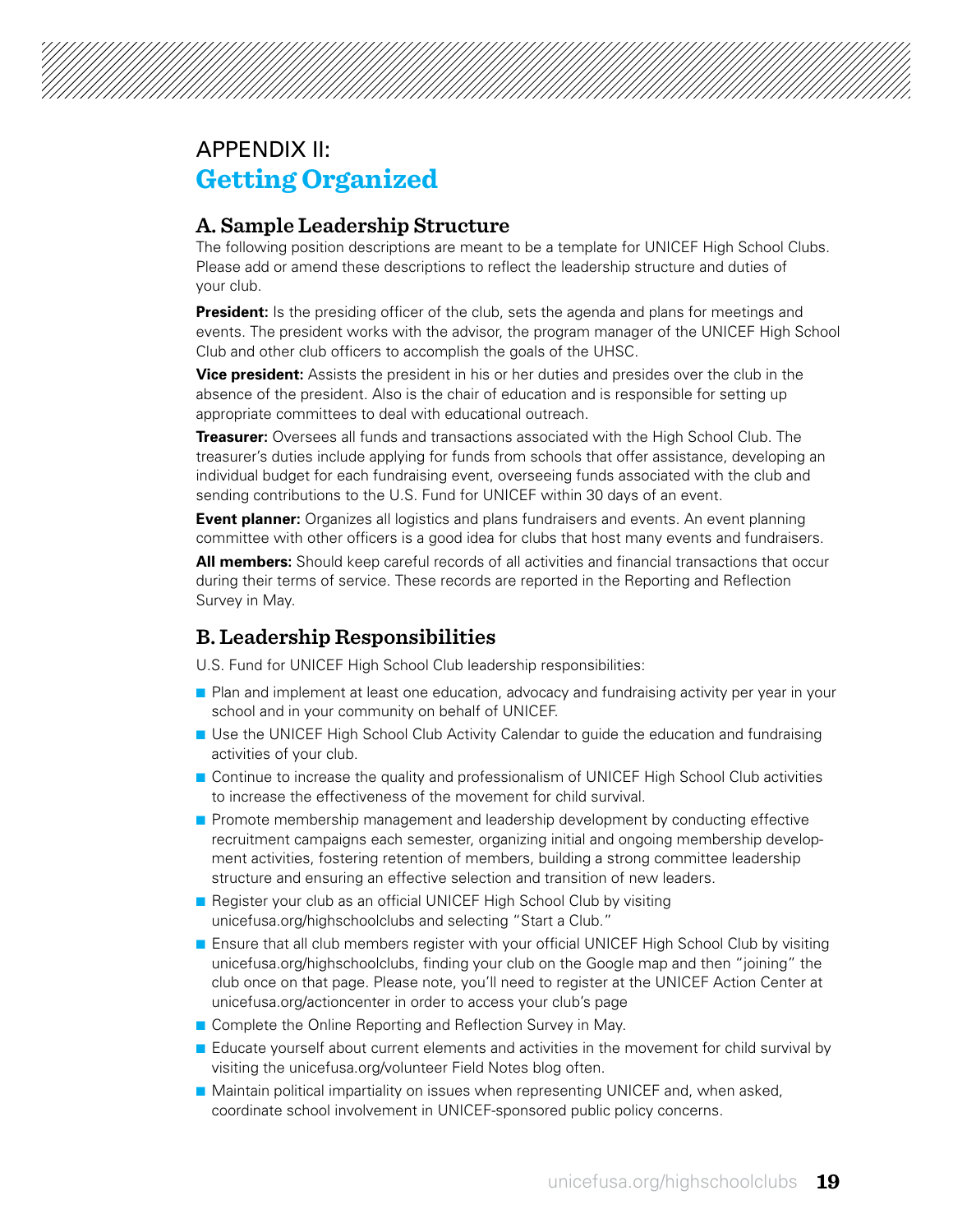### APPENDIX II: **Getting Organized**

#### **A. Sample Leadership Structure**

The following position descriptions are meant to be a template for UNICEF High School Clubs. Please add or amend these descriptions to reflect the leadership structure and duties of your club.

**President:** Is the presiding officer of the club, sets the agenda and plans for meetings and events. The president works with the advisor, the program manager of the UNICEF High School Club and other club officers to accomplish the goals of the UHSC.

**Vice president:** Assists the president in his or her duties and presides over the club in the absence of the president. Also is the chair of education and is responsible for setting up appropriate committees to deal with educational outreach.

**Treasurer:** Oversees all funds and transactions associated with the High School Club. The treasurer's duties include applying for funds from schools that offer assistance, developing an individual budget for each fundraising event, overseeing funds associated with the club and sending contributions to the U.S. Fund for UNICEF within 30 days of an event.

**Event planner:** Organizes all logistics and plans fundraisers and events. An event planning committee with other officers is a good idea for clubs that host many events and fundraisers.

**All members:** Should keep careful records of all activities and financial transactions that occur during their terms of service. These records are reported in the Reporting and Reflection Survey in May.

#### **B. Leadership Responsibilities**

U.S. Fund for UNICEF High School Club leadership responsibilities:

- **n** Plan and implement at least one education, advocacy and fundraising activity per year in your school and in your community on behalf of UNICEF.
- **D** Use the UNICEF High School Club Activity Calendar to guide the education and fundraising activities of your club.
- **n** Continue to increase the quality and professionalism of UNICEF High School Club activities to increase the effectiveness of the movement for child survival.
- **n** Promote membership management and leadership development by conducting effective recruitment campaigns each semester, organizing initial and ongoing membership development activities, fostering retention of members, building a strong committee leadership structure and ensuring an effective selection and transition of new leaders.
- Register your club as an official UNICEF High School Club by visiting [unicefusa.org/highschoolclubs](http://www.unicefusa.org/highschoolclubs) and selecting "Start a Club."
- **n** Ensure that all club members register with your official UNICEF High School Club by visiting [unicefusa.org/highschoolclubs,](http://www.unicefusa.org/highschoolclubs) finding your club on the Google map and then "joining" the club once on that page. Please note, you'll need to register at the UNICEF Action Center at [unicefusa.org/actioncenter](http://www.unicefusa.org/actioncenter) in order to access your club's page
- Complete the Online Reporting and Reflection Survey in May.
- **E** Educate yourself about current elements and activities in the movement for child survival by visiting the unicefusa.org/volunteer Field Notes blog often.
- $\blacksquare$  Maintain political impartiality on issues when representing UNICEF and, when asked, coordinate school involvement in UNICEF-sponsored public policy concerns.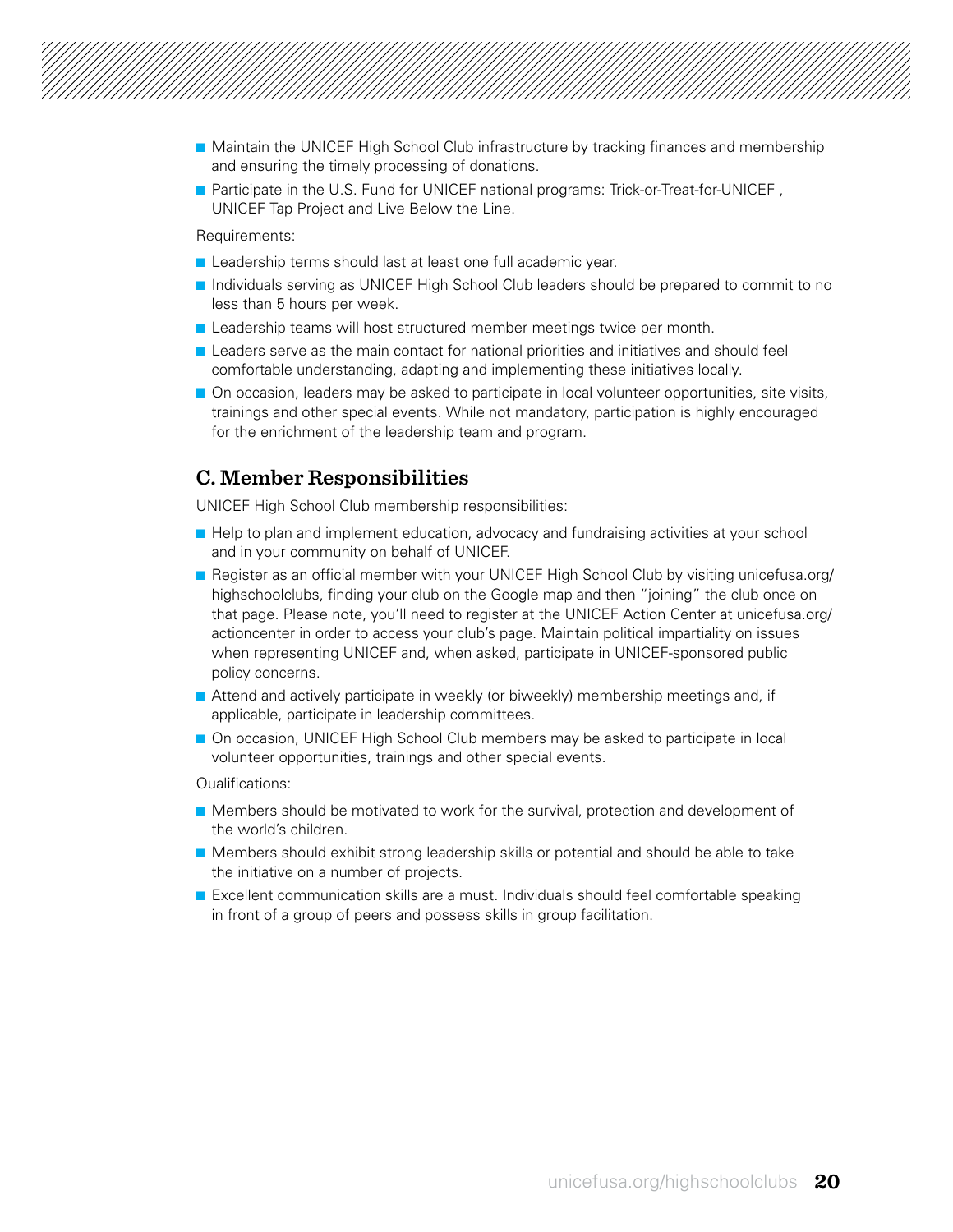

- **n** Maintain the UNICEF High School Club infrastructure by tracking finances and membership and ensuring the timely processing of donations.
- n Participate in the U.S. Fund for UNICEF national programs: Trick-or-Treat-for-UNICEF, UNICEF Tap Project and Live Below the Line.

Requirements:

- **n** Leadership terms should last at least one full academic year.
- **n** Individuals serving as UNICEF High School Club leaders should be prepared to commit to no less than 5 hours per week.
- **n** Leadership teams will host structured member meetings twice per month.
- **n** Leaders serve as the main contact for national priorities and initiatives and should feel comfortable understanding, adapting and implementing these initiatives locally.
- **n** On occasion, leaders may be asked to participate in local volunteer opportunities, site visits, trainings and other special events. While not mandatory, participation is highly encouraged for the enrichment of the leadership team and program.

#### **C. Member Responsibilities**

UNICEF High School Club membership responsibilities:

- **Help to plan and implement education, advocacy and fundraising activities at your school** and in your community on behalf of UNICEF.
- **n** Register as an official member with your UNICEF High School Club by visiting [unicefusa.org/](http://www.unicefusa.org/highschoolclubs) [highschoolclubs](http://www.unicefusa.org/highschoolclubs), finding your club on the Google map and then "joining" the club once on that page. Please note, you'll need to register at the UNICEF Action Center at [unicefusa.org/](http://www.unicefusa.org/actioncenter) [actioncenter](http://www.unicefusa.org/actioncenter) in order to access your club's page. Maintain political impartiality on issues when representing UNICEF and, when asked, participate in UNICEF-sponsored public policy concerns.
- **n** Attend and actively participate in weekly (or biweekly) membership meetings and, if applicable, participate in leadership committees.
- **n** On occasion, UNICEF High School Club members may be asked to participate in local volunteer opportunities, trainings and other special events.

Qualifications:

- **n** Members should be motivated to work for the survival, protection and development of the world's children.
- **n** Members should exhibit strong leadership skills or potential and should be able to take the initiative on a number of projects.
- **n** Excellent communication skills are a must. Individuals should feel comfortable speaking in front of a group of peers and possess skills in group facilitation.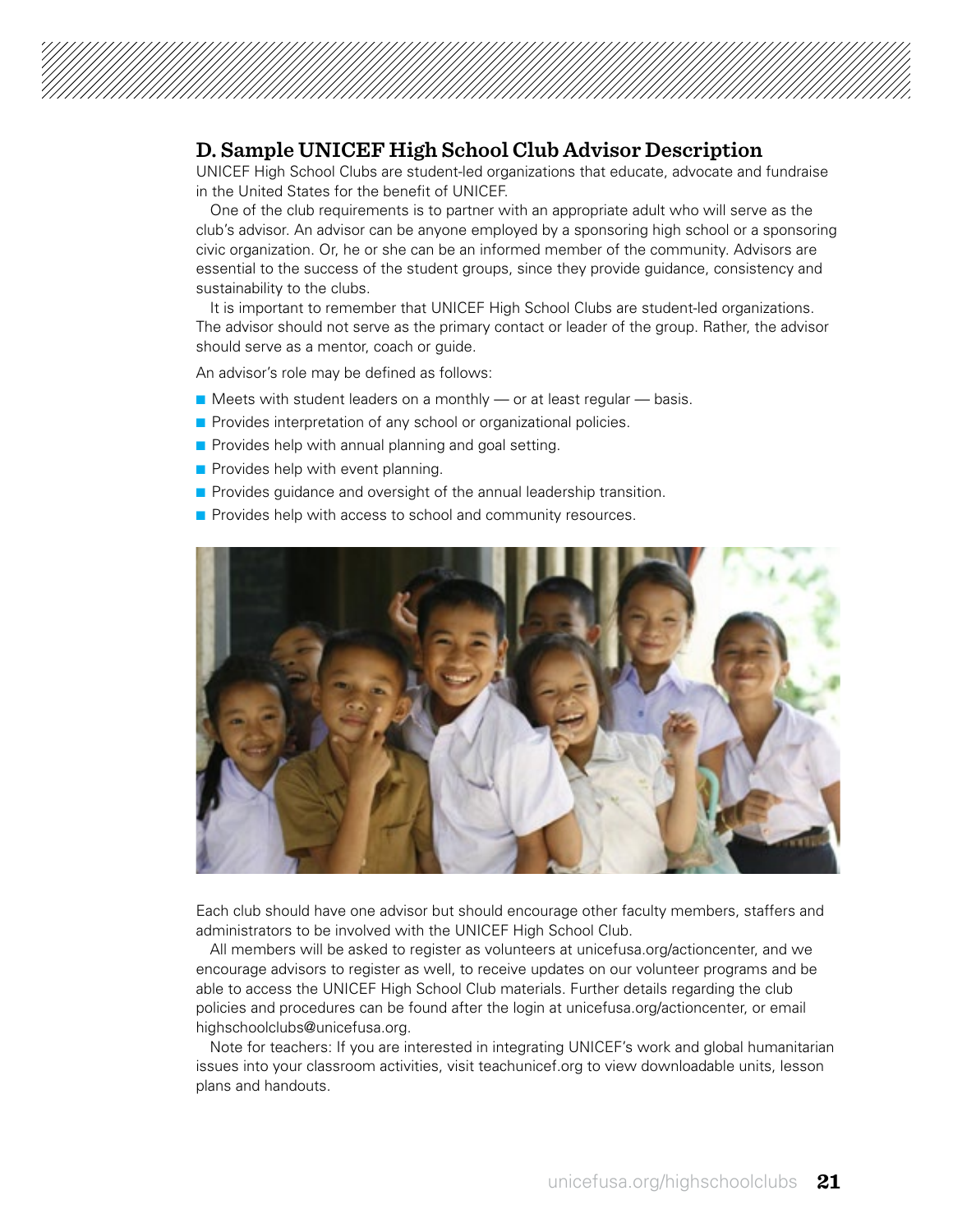#### **D. Sample UNICEF High School Club Advisor Description**

UNICEF High School Clubs are student-led organizations that educate, advocate and fundraise in the United States for the benefit of UNICEF.

One of the club requirements is to partner with an appropriate adult who will serve as the club's advisor. An advisor can be anyone employed by a sponsoring high school or a sponsoring civic organization. Or, he or she can be an informed member of the community. Advisors are essential to the success of the student groups, since they provide guidance, consistency and sustainability to the clubs.

It is important to remember that UNICEF High School Clubs are student-led organizations. The advisor should not serve as the primary contact or leader of the group. Rather, the advisor should serve as a mentor, coach or guide.

An advisor's role may be defined as follows:

- $\blacksquare$  Meets with student leaders on a monthly or at least regular basis.
- **n** Provides interpretation of any school or organizational policies.
- $\blacksquare$  Provides help with annual planning and goal setting.
- $\blacksquare$  Provides help with event planning.
- **n** Provides guidance and oversight of the annual leadership transition.
- $\blacksquare$  Provides help with access to school and community resources.



Each club should have one advisor but should encourage other faculty members, staffers and administrators to be involved with the UNICEF High School Club.

All members will be asked to register as volunteers at [unicefusa.org/actioncenter,](http://www.unicefusa.org/actioncenter) and we encourage advisors to register as well, to receive updates on our volunteer programs and be able to access the UNICEF High School Club materials. Further details regarding the club policies and procedures can be found after the login at [unicefusa.org/actioncenter](http://www.unicefusa.org/actioncenter), or email highschoolclubs@unicefusa.org.

Note for teachers: If you are interested in integrating UNICEF's work and global humanitarian issues into your classroom activities, visit teachunicef.org to view downloadable units, lesson plans and handouts.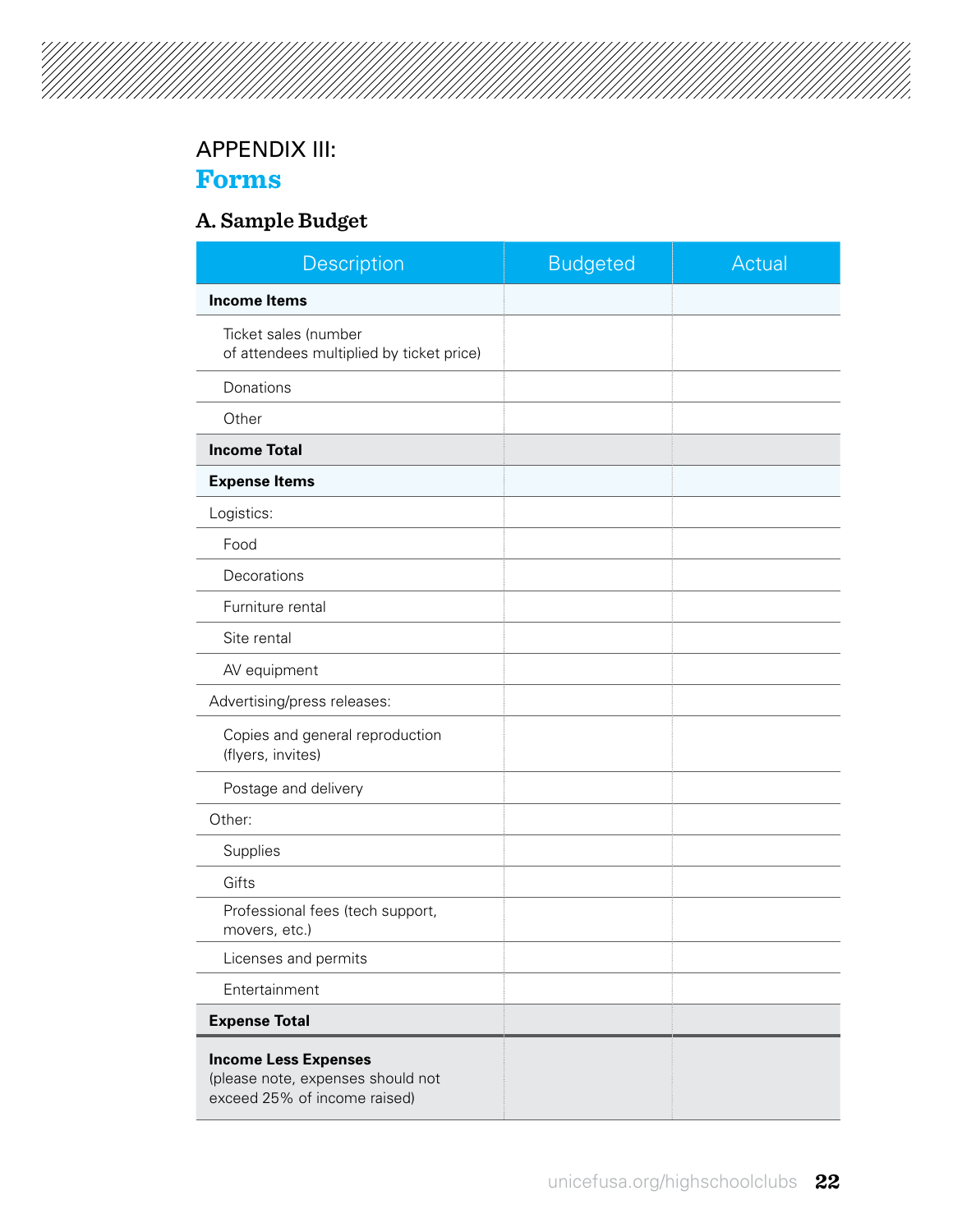# 

### APPENDIX III:

### **Forms**

### **A. Sample Budget**

| Description                                                                                      | <b>Budgeted</b> | Actual |
|--------------------------------------------------------------------------------------------------|-----------------|--------|
| <b>Income Items</b>                                                                              |                 |        |
| Ticket sales (number<br>of attendees multiplied by ticket price)                                 |                 |        |
| Donations                                                                                        |                 |        |
| Other                                                                                            |                 |        |
| <b>Income Total</b>                                                                              |                 |        |
| <b>Expense Items</b>                                                                             |                 |        |
| Logistics:                                                                                       |                 |        |
| Food                                                                                             |                 |        |
| Decorations                                                                                      |                 |        |
| Furniture rental                                                                                 |                 |        |
| Site rental                                                                                      |                 |        |
| AV equipment                                                                                     |                 |        |
| Advertising/press releases:                                                                      |                 |        |
| Copies and general reproduction<br>(flyers, invites)                                             |                 |        |
| Postage and delivery                                                                             |                 |        |
| Other:                                                                                           |                 |        |
| Supplies                                                                                         |                 |        |
| Gifts                                                                                            |                 |        |
| Professional fees (tech support,<br>movers, etc.)                                                |                 |        |
| Licenses and permits                                                                             |                 |        |
| Entertainment                                                                                    |                 |        |
| <b>Expense Total</b>                                                                             |                 |        |
| <b>Income Less Expenses</b><br>(please note, expenses should not<br>exceed 25% of income raised) |                 |        |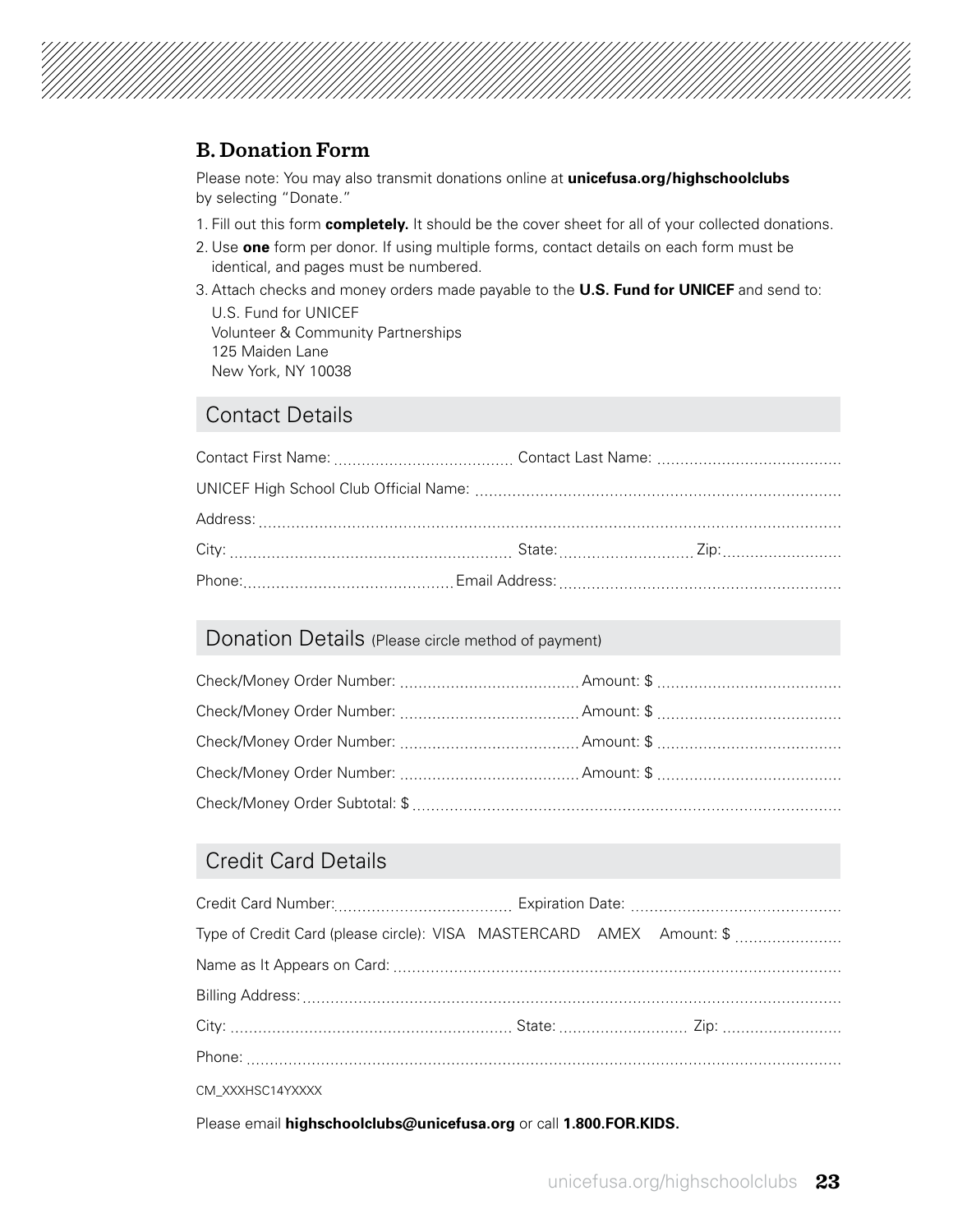

#### **B. Donation Form**

Please note: You may also transmit donations online at **[unicefusa.org/highschoolclubs](http://www.unicefusa.org/highschoolclubs)** by selecting "Donate."

- 1. Fill out this form **completely.** It should be the cover sheet for all of your collected donations.
- 2. Use **one** form per donor. If using multiple forms, contact details on each form must be identical, and pages must be numbered.
- 3. Attach checks and money orders made payable to the **U.S. Fund for UNICEF** and send to:

U.S. Fund for UNICEF Volunteer & Community Partnerships 125 Maiden Lane New York, NY 10038

#### Contact Details

### Donation Details (Please circle method of payment)

### Credit Card Details

| Type of Credit Card (please circle): VISA MASTERCARD AMEX Amount: \$ |  |  |
|----------------------------------------------------------------------|--|--|
|                                                                      |  |  |
|                                                                      |  |  |
|                                                                      |  |  |
|                                                                      |  |  |
| CM_XXXHSC14YXXXX                                                     |  |  |

Please email **highschoolclubs@unicefusa.org** or call **1.800.FOR.KIDS.**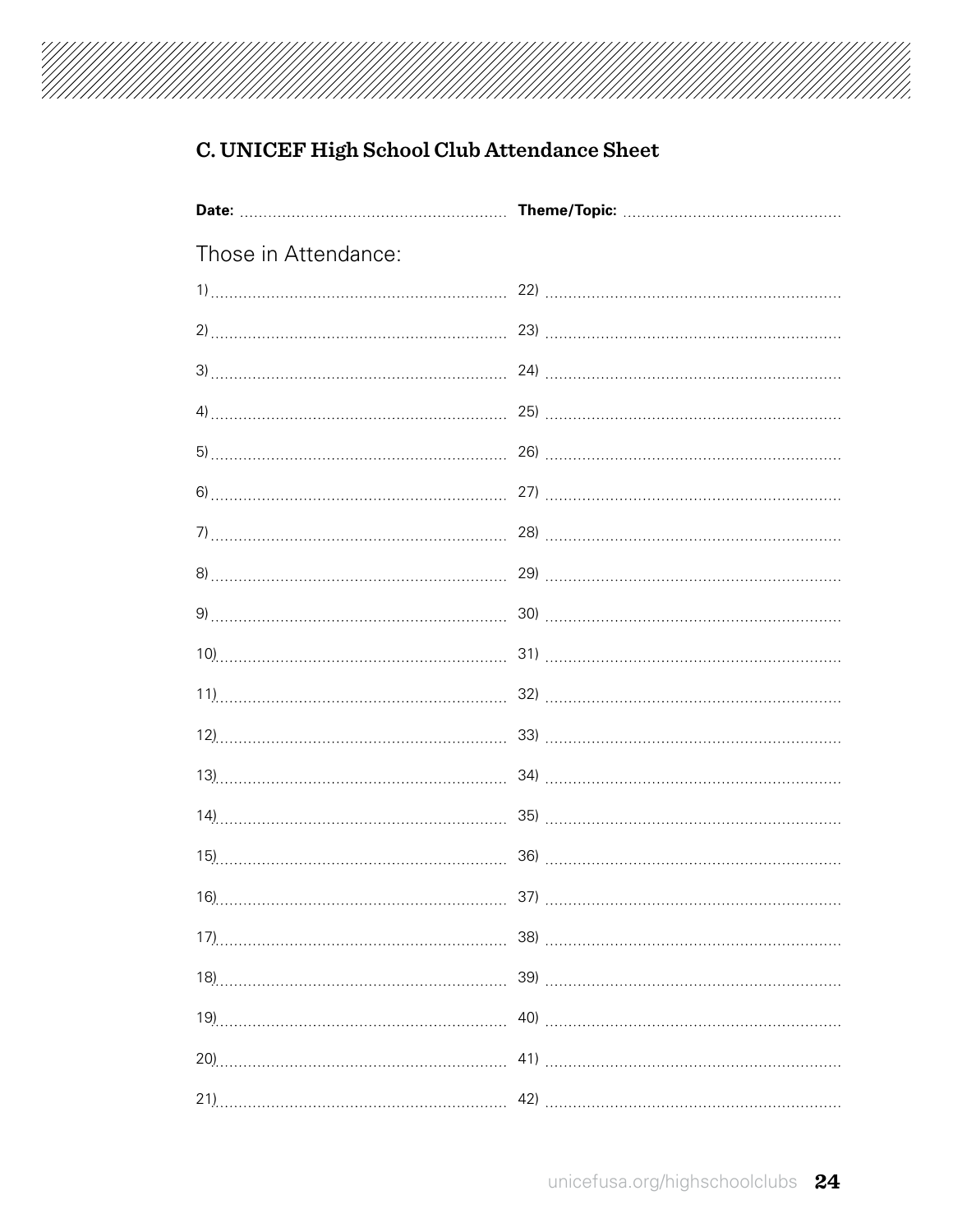

### **C. UNICEF High School Club Attendance Sheet**

| Those in Attendance: |  |
|----------------------|--|
|                      |  |
|                      |  |
|                      |  |
|                      |  |
|                      |  |
|                      |  |
|                      |  |
|                      |  |
|                      |  |
|                      |  |
|                      |  |
|                      |  |
|                      |  |
|                      |  |
|                      |  |
|                      |  |
|                      |  |
|                      |  |
|                      |  |
|                      |  |
|                      |  |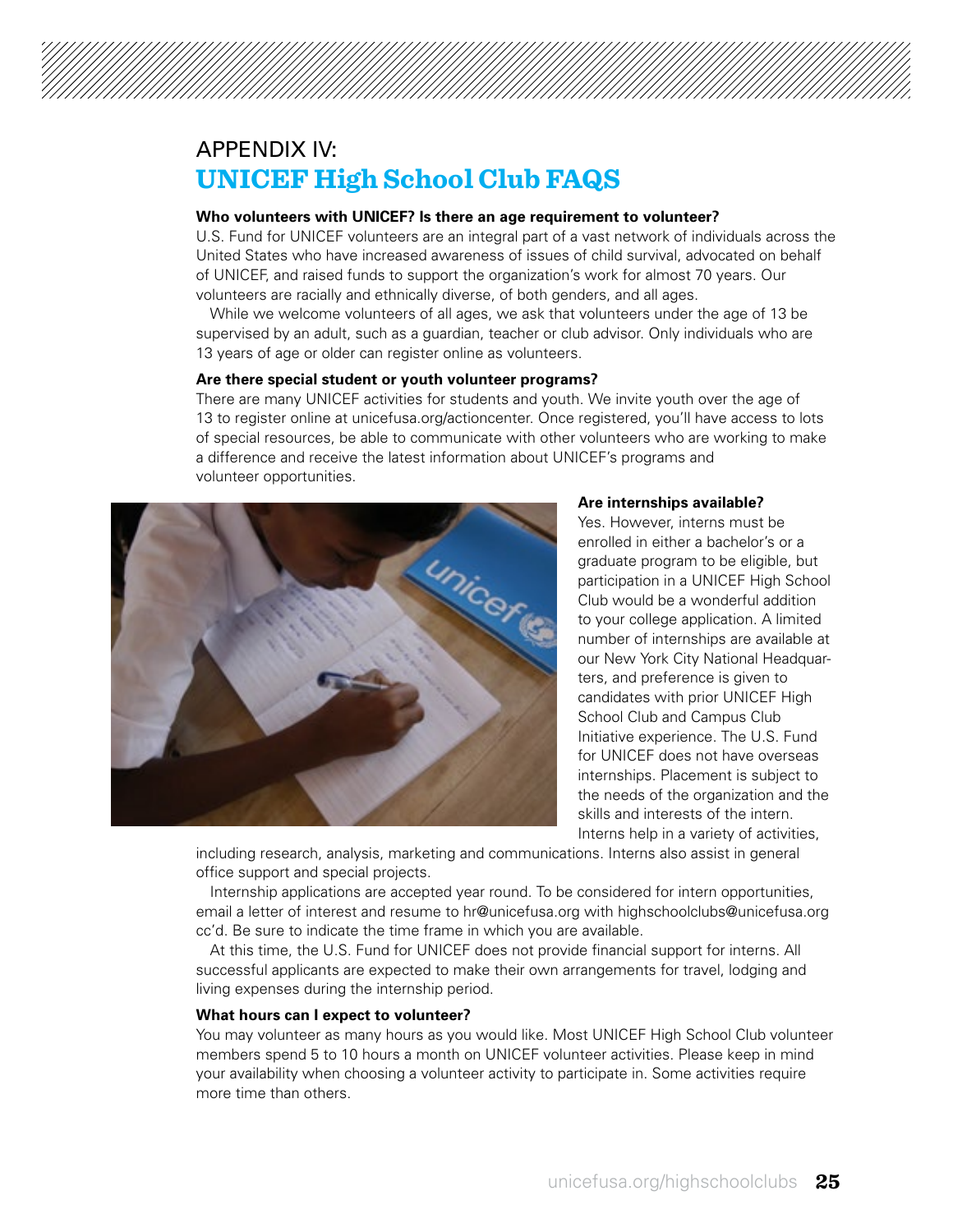### APPENDIX IV: **UNICEF High School Club FAQS**

#### **Who volunteers with UNICEF? Is there an age requirement to volunteer?**

U.S. Fund for UNICEF volunteers are an integral part of a vast network of individuals across the United States who have increased awareness of issues of child survival, advocated on behalf of UNICEF, and raised funds to support the organization's work for almost 70 years. Our volunteers are racially and ethnically diverse, of both genders, and all ages.

While we welcome volunteers of all ages, we ask that volunteers under the age of 13 be supervised by an adult, such as a guardian, teacher or club advisor. Only individuals who are 13 years of age or older can register online as volunteers.

#### **Are there special student or youth volunteer programs?**

There are many UNICEF activities for students and youth. We invite youth over the age of 13 to register online at unicefusa.org/actioncenter. Once registered, you'll have access to lots of special resources, be able to communicate with other volunteers who are working to make a difference and receive the latest information about UNICEF's programs and volunteer opportunities.



#### **Are internships available?**

Yes. However, interns must be enrolled in either a bachelor's or a graduate program to be eligible, but participation in a UNICEF High School Club would be a wonderful addition to your college application. A limited number of internships are available at our New York City National Headquarters, and preference is given to candidates with prior UNICEF High School Club and Campus Club Initiative experience. The U.S. Fund for UNICEF does not have overseas internships. Placement is subject to the needs of the organization and the skills and interests of the intern. Interns help in a variety of activities.

including research, analysis, marketing and communications. Interns also assist in general office support and special projects.

Internship applications are accepted year round. To be considered for intern opportunities, email a letter of interest and resume to hr@unicefusa.org with highschoolclubs@unicefusa.org cc'd. Be sure to indicate the time frame in which you are available.

At this time, the U.S. Fund for UNICEF does not provide financial support for interns. All successful applicants are expected to make their own arrangements for travel, lodging and living expenses during the internship period.

#### **What hours can I expect to volunteer?**

You may volunteer as many hours as you would like. Most UNICEF High School Club volunteer members spend 5 to 10 hours a month on UNICEF volunteer activities. Please keep in mind your availability when choosing a volunteer activity to participate in. Some activities require more time than others.